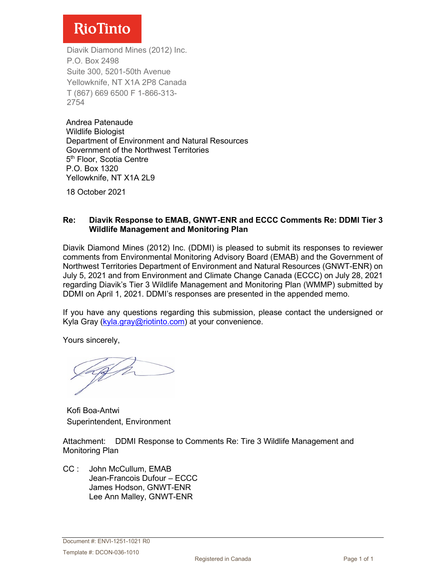# **RioTinto**

Diavik Diamond Mines (2012) Inc. P.O. Box 2498 Suite 300, 5201-50th Avenue Yellowknife, NT X1A 2P8 Canada T (867) 669 6500 F 1-866-313- 2754

Andrea Patenaude Wildlife Biologist Department of Environment and Natural Resources Government of the Northwest Territories 5<sup>th</sup> Floor, Scotia Centre P.O. Box 1320 Yellowknife, NT X1A 2L9

18 October 2021

### **Re: Diavik Response to EMAB, GNWT-ENR and ECCC Comments Re: DDMI Tier 3 Wildlife Management and Monitoring Plan**

Diavik Diamond Mines (2012) Inc. (DDMI) is pleased to submit its responses to reviewer comments from Environmental Monitoring Advisory Board (EMAB) and the Government of Northwest Territories Department of Environment and Natural Resources (GNWT-ENR) on July 5, 2021 and from Environment and Climate Change Canada (ECCC) on July 28, 2021 regarding Diavik's Tier 3 Wildlife Management and Monitoring Plan (WMMP) submitted by DDMI on April 1, 2021. DDMI's responses are presented in the appended memo.

If you have any questions regarding this submission, please contact the undersigned or Kyla Gray [\(kyla.gray@riotinto.com\)](mailto:kyla.gray@riotinto.com) at your convenience.

Yours sincerely,

Kofi Boa-Antwi Superintendent, Environment

Attachment: DDMI Response to Comments Re: Tire 3 Wildlife Management and Monitoring Plan

CC : John McCullum, EMAB Jean-Francois Dufour – ECCC James Hodson, GNWT-ENR Lee Ann Malley, GNWT-ENR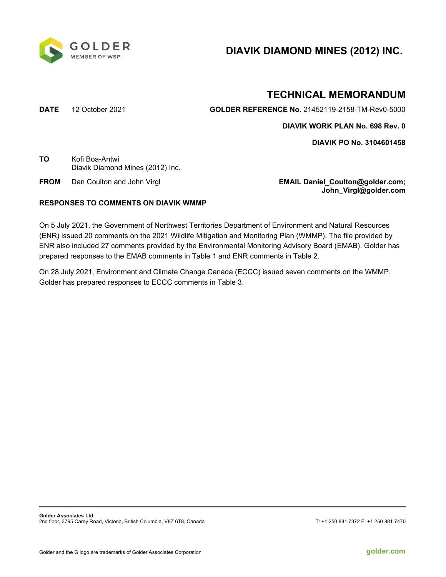

# **DIAVIK DIAMOND MINES (2012) INC.**

# **TECHNICAL MEMORANDUM**

**DATE** 12 October 2021 **GOLDER REFERENCE No.** 21452119-2158-TM-Rev0-5000

**DIAVIK WORK PLAN No. 698 Rev. 0**

**DIAVIK PO No. 3104601458**

**TO** Kofi Boa-Antwi Diavik Diamond Mines (2012) Inc.

**FROM** Dan Coulton and John Virgl **EMAIL Daniel\_Coulton@golder.com; John\_Virgl@golder.com**

### **RESPONSES TO COMMENTS ON DIAVIK WMMP**

On 5 July 2021, the Government of Northwest Territories Department of Environment and Natural Resources (ENR) issued 20 comments on the 2021 Wildlife Mitigation and Monitoring Plan (WMMP). The file provided by ENR also included 27 comments provided by the Environmental Monitoring Advisory Board (EMAB). Golder has prepared responses to the EMAB comments in Table 1 and ENR comments in Table 2.

On 28 July 2021, Environment and Climate Change Canada (ECCC) issued seven comments on the WMMP. Golder has prepared responses to ECCC comments in Table 3.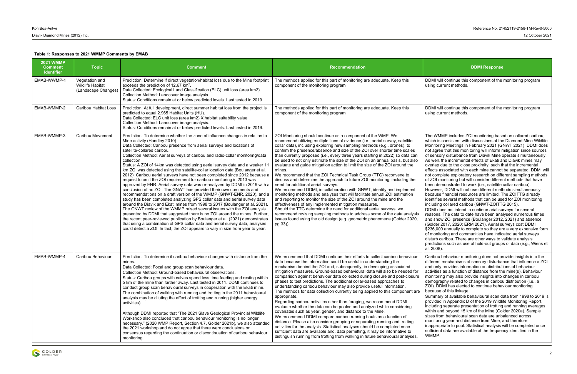DDMI will continue this component of the monitoring program using current methods.

DDMI will continue this component of the monitoring program using current methods.

| <b>2021 WMMP</b><br><b>Comment</b><br><b>Identifier</b> | <b>Topic</b>                                                     | <b>Comment</b>                                                                                                                                                                                                                                                                                                                                                                                                                                                                                                                                                                                                                                                                                                                                                                                                                                                                                                                                                                                                                                                                                                                                                                                                                                                                                                                                                                                                                                          | <b>Recommendation</b>                                                                                                                                                                                                                                                                                                                                                                                                                                                                                                                                                                                                                                                                                                                                                                                                                                                                                                                                                                                                                                                                                                                                                                                                                                                                               | <b>DDMI Response</b>                                                                                                                                                                                                                                                                                                                                                                                                                                                                                                                                                                                                                                                                                                                                                                                                                                                                                                                                                                                                                                                                 |  |
|---------------------------------------------------------|------------------------------------------------------------------|---------------------------------------------------------------------------------------------------------------------------------------------------------------------------------------------------------------------------------------------------------------------------------------------------------------------------------------------------------------------------------------------------------------------------------------------------------------------------------------------------------------------------------------------------------------------------------------------------------------------------------------------------------------------------------------------------------------------------------------------------------------------------------------------------------------------------------------------------------------------------------------------------------------------------------------------------------------------------------------------------------------------------------------------------------------------------------------------------------------------------------------------------------------------------------------------------------------------------------------------------------------------------------------------------------------------------------------------------------------------------------------------------------------------------------------------------------|-----------------------------------------------------------------------------------------------------------------------------------------------------------------------------------------------------------------------------------------------------------------------------------------------------------------------------------------------------------------------------------------------------------------------------------------------------------------------------------------------------------------------------------------------------------------------------------------------------------------------------------------------------------------------------------------------------------------------------------------------------------------------------------------------------------------------------------------------------------------------------------------------------------------------------------------------------------------------------------------------------------------------------------------------------------------------------------------------------------------------------------------------------------------------------------------------------------------------------------------------------------------------------------------------------|--------------------------------------------------------------------------------------------------------------------------------------------------------------------------------------------------------------------------------------------------------------------------------------------------------------------------------------------------------------------------------------------------------------------------------------------------------------------------------------------------------------------------------------------------------------------------------------------------------------------------------------------------------------------------------------------------------------------------------------------------------------------------------------------------------------------------------------------------------------------------------------------------------------------------------------------------------------------------------------------------------------------------------------------------------------------------------------|--|
| EMAB-WWMP-1                                             | Vegetation and<br><b>Wildlife Habitat</b><br>(Landscape Changes) | Prediction: Determine if direct vegetation/habitat loss due to the Mine footprint<br>exceeds the prediction of 12.67 km <sup>2</sup> .<br>Data Collected: Ecological Land Classification (ELC) unit loss (area km2).<br>Collection Method: Landcover image analysis.<br>Status: Conditions remain at or below predicted levels. Last tested in 2019.                                                                                                                                                                                                                                                                                                                                                                                                                                                                                                                                                                                                                                                                                                                                                                                                                                                                                                                                                                                                                                                                                                    | The methods applied for this part of monitoring are adequate. Keep this<br>component of the monitoring program                                                                                                                                                                                                                                                                                                                                                                                                                                                                                                                                                                                                                                                                                                                                                                                                                                                                                                                                                                                                                                                                                                                                                                                      | DDMI will continue this component of the<br>using current methods.                                                                                                                                                                                                                                                                                                                                                                                                                                                                                                                                                                                                                                                                                                                                                                                                                                                                                                                                                                                                                   |  |
| EMAB-WMMP-2                                             | <b>Caribou Habitat Loss</b>                                      | Prediction: At full development, direct summer habitat loss from the project is<br>predicted to equal 2.965 Habitat Units (HU).<br>Data Collected: ELC unit loss (area km2) X habitat suitability value.<br>Collection Method: Landcover image analysis.<br>Status: Conditions remain at or below predicted levels. Last tested in 2019.                                                                                                                                                                                                                                                                                                                                                                                                                                                                                                                                                                                                                                                                                                                                                                                                                                                                                                                                                                                                                                                                                                                | The methods applied for this part of monitoring are adequate. Keep this<br>component of the monitoring program                                                                                                                                                                                                                                                                                                                                                                                                                                                                                                                                                                                                                                                                                                                                                                                                                                                                                                                                                                                                                                                                                                                                                                                      | DDMI will continue this component of the<br>using current methods.                                                                                                                                                                                                                                                                                                                                                                                                                                                                                                                                                                                                                                                                                                                                                                                                                                                                                                                                                                                                                   |  |
| EMAB-WMMP-3                                             | <b>Caribou Movement</b>                                          | Prediction: To determine whether the zone of influence changes in relation to<br>Mine activity (Handley 2010).<br>Data Collected: Caribou presence from aerial surveys and locations of<br>satellite-collared caribou.<br>Collection Method: Aerial surveys of caribou and radio-collar monitoring/data<br>collection.<br>Status: A ZOI of 14km was detected using aerial survey data and a weaker 11<br>km ZOI was detected using the satellite-collar location data (Boulanger et al.<br>2012). Caribou aerial surveys have not been completed since 2012 because a<br>request to omit the ZOI requirement for caribou monitoring in 2013 was<br>approved by ENR. Aerial survey data was re-analyzed by DDMI in 2019 with a<br>conclusion of no ZOI. The GNWT has provided their own comments and<br>recommendations on a draft version of the WMMP (GNWT-ENR, 2020), and a<br>study has been completed analyzing GPS collar data and aerial survey data<br>around the Diavik and Ekati mines from 1998 to 2017 (Boulanger et al. 2021).<br>The GNWT review of the WMMP raised several issues with the ZOI analysis<br>presented by DDMI that suggested there is no ZOI around the mines. Further,<br>the recent peer-reviewed publication by Boulanger et al. (2021) demonstrates<br>that using a combination of GPS collar data and aerial survey data, analyses<br>could detect a ZOI. In fact, the ZOI appears to vary in size from year to year. | ZOI Monitoring should continue as a component of the WMP. We<br>recommend utilizing multiple lines of evidence (i.e., aerial survey, satellite<br>collar data), including exploring new sampling methods (e.g., drones), to<br>confirm the presence/absence and size of the ZOI over shorter time scales<br>than currently proposed (i.e., every three years starting in 2022) so data can<br>be used to not only estimate the size of the ZOI on an annual basis, but also<br>evaluate and guide mitigation action to limit the size of the ZOI around the<br>mines.<br>We recommend that the ZOI Technical Task Group (TTG) reconvene to<br>discuss and determine the approach to future ZOI monitoring, including the<br>need for additional aerial surveys.<br>We recommend DDMI, in collaboration with GNWT, identify and implement<br>monitoring methods and analyses that will facilitate annual ZOI estimation<br>and reporting to monitor the size of the ZOI around the mine and the<br>effectiveness of any implemented mitigation measures.<br>Should the TTG determine the need for additional aerial surveys, we<br>recommend revising sampling methods to address some of the data analysis<br>issues found using the old design (e.g. geometric phenomena (Golder 2020,<br>pg.33)). | The WMMP includes ZOI monitoring base<br>which is consistent with discussions at the<br>Monitoring Meetings in February 2021 (G<br>not agree that this monitoring will inform n<br>of sensory disturbance from Diavik Mine o<br>As well, the incremental effects of Ekati a<br>overlap due to the close proximity, such th<br>effects associated with each mine cannot<br>not complete exploratory research on diffe<br>of ZOI monitoring but will consider differer<br>been demonstrated to work (i.e., satellite<br>However, DDMI will not use different meth<br>because financial resources are limited. T<br>identifies several methods that can be use<br>including collared caribou (GNWT-ZOITT<br>DDMI does not intend to continue arial su<br>reasons. The data to date have been ana<br>and show ZOI presence (Boulanger 2012<br>(Golder 2017, 2020; ERM 2021). Aerial st<br>\$236,000 annually to complete so they ar<br>of monitoring and communities have indic<br>disturb caribou. There are other ways to v<br>predictions such as use of hold-out group<br>al. 2008). |  |
| EMAB-WMMP-4                                             | Caribou Behaviour                                                | Prediction: To determine if caribou behaviour changes with distance from the<br>mines.<br>Data Collected: Focal and group scan behaviour data.<br>Collection Method: Ground-based behavioural observations.<br>Status: Caribou groups with calves spend less time feeding and resting within<br>5 km of the mine than farther away. Last tested in 2011. DDMI continues to<br>conduct group scan behavioural surveys in cooperation with the Ekati mine.<br>The combination of walking with running and trotting in the 2011 behavioural<br>analysis may be diluting the effect of trotting and running (higher energy<br>activities).<br>Although DDMI reported that "The 2021 Slave Geological Provincial Wildlife<br>Workshop also concluded that caribou behaviour monitoring is no longer<br>necessary." (2020 WMP Report, Section 4.7, Golder 2021b), we also attended<br>the 2021 workshop and do not agree that there were conclusions or<br>consensus regarding the continuation or discontinuation of caribou behaviour<br>monitoring.                                                                                                                                                                                                                                                                                                                                                                                                        | We recommend that DDMI continue their efforts to collect caribou behaviour<br>data because the information could be useful in understanding the<br>mechanism behind the ZOI and, subsequently, in developing associated<br>mitigation measures. Ground-based behavioural data will also be needed for<br>comparison against behaviour data collected during closure and post-closure<br>phases to test predictions. The additional collar-based approaches to<br>understanding caribou behaviour may also provide useful information.<br>The methods for data collection currently being applied to this component are<br>appropriate.<br>Regarding caribou activities other than foraging, we recommend DDMI<br>evaluate whether the data can be pooled and analyzed while considering<br>covariates such as year, gender, and distance to the Mine.<br>We recommend DDMI compare caribou running bouts as a function of<br>distance. Please also consider grouping or separating running and trotting<br>activities for the analysis. Statistical analyses should be completed once<br>sufficient data are available and, data permitting, it may be informative to<br>distinguish running from trotting from walking in future behavioural analyses.                                             | Caribou behaviour monitoring does not pr<br>different mechanisms of sensory disturbat<br>and only provides information on distribut<br>activities as a function of distance from th<br>monitoring may also provide insights into<br>demography related to changes in caribor<br>ZOI). DDMI has elected to continue behav<br>because of this linkage.<br>Summary of available behavioural scan d<br>provided in Appendix D of the 2019 Wildli<br>including separate presentation of trotting<br>within and beyond 15 km of the Mine (Go<br>sizes from behavioural scan data are unb<br>monitoring year and distance from Mine, a<br>inappropriate to pool. Statistical analysis v<br>sufficient data are available at the frequer<br>WMMP.                                                                                                                                                                                                                                                                                                                                            |  |



Summary of available behavioural scan data from 1998 to 2019 is provided in Appendix D of the 2019 Wildlife Monitoring Report, including separate presentation of trotting and running averages within and beyond 15 km of the Mine (Golder 2020a). Sample sizes from behavioural scan data are unbalanced across monitoring year and distance from Mine, and therefore inappropriate to pool. Statistical analysis will be completed once sufficient data are available at the frequency identified in the WMMP.

The WMMP includes ZOI monitoring based on collared caribou, which is consistent with discussions at the Diamond Mine Wildlife Monitoring Meetings in February 2021 (GNWT 2021). DDMI does not agree that this monitoring will inform mitigation since sources of sensory disturbance from Diavik Mine operate simultaneously. As well, the incremental effects of Ekati and Diavik mines may overlap due to the close proximity, such that the incremental effects associated with each mine cannot be separated. DDMI will not complete exploratory research on different sampling methods of ZOI monitoring but will consider different methods that have been demonstrated to work (i.e., satellite collar caribou). However, DDMI will not use different methods simultaneously because financial resources are limited. The ZOITTG already identifies several methods that can be used for ZOI monitoring including collared caribou (GNWT-ZOITTG 2015). DDMI does not intend to continue arial surveys for several reasons. The data to date have been analysed numerous times and show ZOI presence (Boulanger 2012, 2021) and absence (Golder 2017, 2020; ERM 2021). Aerial surveys cost DDMI \$236,000 annually to complete so they are a very expensive form

of monitoring and communities have indicated aerial surveys disturb caribou. There are other ways to validate analysis predictions such as use of hold-out groups of data (e.g., Wiens et al. 2008).

Caribou behaviour monitoring does not provide insights into the different mechanisms of sensory disturbance that influence a ZOI and only provides information on distributions of behaviour activities as a function of distance from the mine(s). Behaviour monitoring may also provide insights into changes in caribou demography related to changes in caribou distribution (i.e., a ZOI). DDMI has elected to continue behaviour monitoring because of this linkage.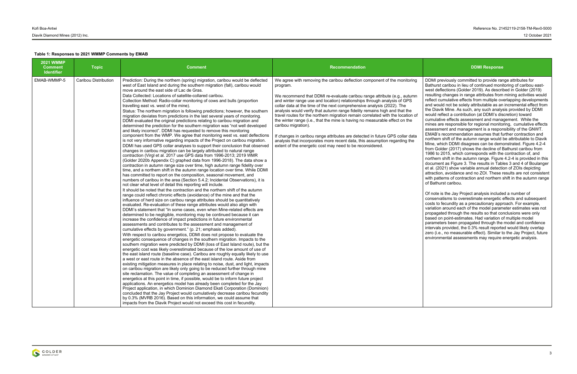| <b>2021 WMMP</b><br><b>Comment</b><br><b>Identifier</b> | <b>Topic</b>         | <b>Comment</b>                                                                                                                                                                                                                                                                                                                                                                                                                                                                                                                                                                                                                                                                                                                                                                                                                                                                                                                                                                                                                                                                                                                                                                                                                                                                                                                                                                                                                                                                                                                                                                                                                                                                                                                                                                                                                                                                                                                                                                                                                                                                                                                                                                                                                                                                                                                                                                                                                                                                                                                                                                                                                                                                                                                                                                                                                                                                                                                                                                                                                                                                                                                                                                                                                                                                                                                                                                                                                                                                                                                                                                               | Recommendation                                                                                                                                                                                                                                                                                                                                                                                                                                                                                                                                                                                                                                                                                                                                                                                                             | <b>DDMI Response</b>                                                                                                                                                                                                                                                                                                                                                                                                                                                                                                                                                                                                                                                                                                                                                                                                                                                                                                                                                                                                                                                                                                                                                                                                                                                                                                                                                                                                                                            |
|---------------------------------------------------------|----------------------|----------------------------------------------------------------------------------------------------------------------------------------------------------------------------------------------------------------------------------------------------------------------------------------------------------------------------------------------------------------------------------------------------------------------------------------------------------------------------------------------------------------------------------------------------------------------------------------------------------------------------------------------------------------------------------------------------------------------------------------------------------------------------------------------------------------------------------------------------------------------------------------------------------------------------------------------------------------------------------------------------------------------------------------------------------------------------------------------------------------------------------------------------------------------------------------------------------------------------------------------------------------------------------------------------------------------------------------------------------------------------------------------------------------------------------------------------------------------------------------------------------------------------------------------------------------------------------------------------------------------------------------------------------------------------------------------------------------------------------------------------------------------------------------------------------------------------------------------------------------------------------------------------------------------------------------------------------------------------------------------------------------------------------------------------------------------------------------------------------------------------------------------------------------------------------------------------------------------------------------------------------------------------------------------------------------------------------------------------------------------------------------------------------------------------------------------------------------------------------------------------------------------------------------------------------------------------------------------------------------------------------------------------------------------------------------------------------------------------------------------------------------------------------------------------------------------------------------------------------------------------------------------------------------------------------------------------------------------------------------------------------------------------------------------------------------------------------------------------------------------------------------------------------------------------------------------------------------------------------------------------------------------------------------------------------------------------------------------------------------------------------------------------------------------------------------------------------------------------------------------------------------------------------------------------------------------------------------------|----------------------------------------------------------------------------------------------------------------------------------------------------------------------------------------------------------------------------------------------------------------------------------------------------------------------------------------------------------------------------------------------------------------------------------------------------------------------------------------------------------------------------------------------------------------------------------------------------------------------------------------------------------------------------------------------------------------------------------------------------------------------------------------------------------------------------|-----------------------------------------------------------------------------------------------------------------------------------------------------------------------------------------------------------------------------------------------------------------------------------------------------------------------------------------------------------------------------------------------------------------------------------------------------------------------------------------------------------------------------------------------------------------------------------------------------------------------------------------------------------------------------------------------------------------------------------------------------------------------------------------------------------------------------------------------------------------------------------------------------------------------------------------------------------------------------------------------------------------------------------------------------------------------------------------------------------------------------------------------------------------------------------------------------------------------------------------------------------------------------------------------------------------------------------------------------------------------------------------------------------------------------------------------------------------|
| EMAB-WMMP-5                                             | Caribou Distribution | Prediction: During the northern (spring) migration, caribou would be deflected<br>west of East Island and during the southern migration (fall), caribou would<br>move around the east side of Lac de Gras.<br>Data Collected: Locations of satellite-collared caribou.<br>Collection Method: Radio-collar monitoring of cows and bulls (proportion<br>travelling east vs. west of the mine).<br>Status: The northern migration is following predictions; however, the southern<br>migration deviates from predictions in the last several years of monitoring.<br>DDMI evaluated the original predictions relating to caribou migration and<br>determined the prediction for the southern migration was "not well developed<br>and likely incorrect". DDMI has requested to remove this monitoring<br>component from the WMP. We agree that monitoring west vs. east deflections<br>is not very informative regarding impacts of the Project on caribou migration.<br>DDMI has used GPS collar analyses to support their conclusion that observed<br>changes in caribou migration can be largely attributed to natural range<br>contraction (Virgl et al. 2017 use GPS data from 1996-2013; 2019 WMR<br>(Golder 2020b Appendix C) graphed data from 1996-2018). The data show a<br>contraction in autumn range size over time, high autumn range fidelity over<br>time, and a northern shift in the autumn range location over time. While DDMI<br>has committed to report on the composition, seasonal movement, and<br>numbers of caribou in the area (Section 5.4.2; Incidental Observations), it is<br>not clear what level of detail this reporting will include.<br>It should be noted that the contraction and the northern shift of the autumn<br>range could reflect chronic effects (avoidance) of the mine and that the<br>influence of herd size on caribou range attributes should be quantitatively<br>evaluated. Re-evaluation of these range attributes would also align with<br>DDMI's statement that "In some cases, even when Mine-related effects are<br>determined to be negligible, monitoring may be continued because it can<br>increase the confidence of impact predictions in future environmental<br>assessments and contributes to the assessment and management of<br>cumulative effects by government." (p. 21; emphasis added).<br>With respect to caribou energetics, DDMI does not propose to evaluate the<br>energetic consequence of changes in the southern migration. Impacts to the<br>southern migration were predicted by DDMI (loss of East Island route), but the<br>energetic cost was likely overestimated because of the low amount of use of<br>the east island route (baseline case). Caribou are roughly equally likely to use<br>a west or east route in the absence of the east island route. Aside from<br>existing mitigation measures in place relating to noise, dust, and light, impacts<br>on caribou migration are likely only going to be reduced further through mine<br>site reclamation. The value of completing an assessment of change in<br>energetics at this point in time, if possible, would be to inform future project<br>applications. An energetics model has already been completed for the Jay<br>Project application, in which Dominion Diamond Ekati Corporation (Dominion)<br>concluded that the Jay Project would cumulatively decrease caribou fecundity<br>by 0.3% (MVRB 2016). Based on this information, we could assume that<br>impacts from the Diavik Project would not exceed this cost in fecundity. | We agree with removing the caribou deflection component of the monitoring<br>program.<br>We recommend that DDMI re-evaluate caribou range attribute (e.g., autumn<br>and winter range use and location) relationships through analysis of GPS<br>collar data at the time of the next comprehensive analysis (2022). The<br>analysis would verify that autumn range fidelity remains high and that the<br>travel routes for the northern migration remain correlated with the location of<br>the winter range (i.e., that the mine is having no measurable effect on the<br>caribou migration).<br>If changes in caribou range attributes are detected in future GPS collar data<br>analysis that incorporates more recent data, this assumption regarding the<br>extent of the energetic cost may need to be reconsidered. | DDMI previously committed to provide rar<br>Bathurst caribou in lieu of continued moni<br>west deflections (Golder 2019). As descri-<br>resulting changes in range attributes from<br>reflect cumulative effects from multiple ov<br>and would not be solely attributable as an<br>the Diavik Mine. As such, any such analys<br>would reflect a contribution (at DDMI's dis<br>cumulative effects assessment and mana<br>mines are responsible for regional monito<br>assessment and management is a respor<br>EMAB's recommendation assumes that fu<br>northern shift of the autumn range would<br>Mine, which DDMI disagrees can be dem<br>from Golder (2017) shows the decline of I<br>1986 to 2015, which corresponds with the<br>northern shift in the autumn range. Figure<br>document as Figure 3. The results in Tabl<br>et al. (2021) show variable annual detecti<br>attraction, avoidance and no ZOI. These r<br>with patterns of contraction and northern :<br>of Bathurst caribou.<br>Of note is the Jay Project analysis include<br>conservatisms to overestimate energetic<br>costs to fecundity as a precautionary appr<br>variation around each of the model param<br>propagated through the results so that co<br>based on point-estimates. Had variation o<br>parameters been propagated through the<br>intervals provided, the 0.3% result reporte<br>zero (i.e., no measurable effect). Similar t<br>environmental assessments may require |

DDMI previously committed to provide range attributes for Bathurst caribou in lieu of continued monitoring of caribou eastwest deflections (Golder 2019). As described in Golder (2019) resulting changes in range attributes from mining activities would reflect cumulative effects from multiple overlapping developments and would not be solely attributable as an incremental effect from the Diavik Mine. As such, any such analysis provided by DDMI would reflect a contribution (at DDMI's discretion) toward cumulative effects assessment and management. While the mines are responsible for regional monitoring, cumulative effects assessment and management is a responsibility of the GNWT. EMAB's recommendation assumes that further contraction and northern shift of the autumn range would be attributable to Diavik Mine, which DDMI disagrees can be demonstrated. Figure 4.2-4 from Golder (2017) shows the decline of Bathurst caribou from 1986 to 2015, which corresponds with the contraction of, and northern shift in the autumn range. Figure 4.2-4 is provided in this document as Figure 3. The results in Tables 3 and 4 of Boulanger et al. (2021) show variable annual detection of ZOIs depicting attraction, avoidance and no ZOI. These results are not consistent with patterns of contraction and northern shift in the autumn range of Bathurst caribou.

Of note is the Jay Project analysis included a number of conservatisms to overestimate energetic effects and subsequent costs to fecundity as a precautionary approach. For example, variation around each of the model parameter estimates was not propagated through the results so that conclusions were only based on point-estimates. Had variation of multiple model parameters been propagated through the model and confidence intervals provided, the 0.3% result reported would likely overlap zero (i.e., no measurable effect). Similar to the Jay Project, future environmental assessments may require energetic analysis.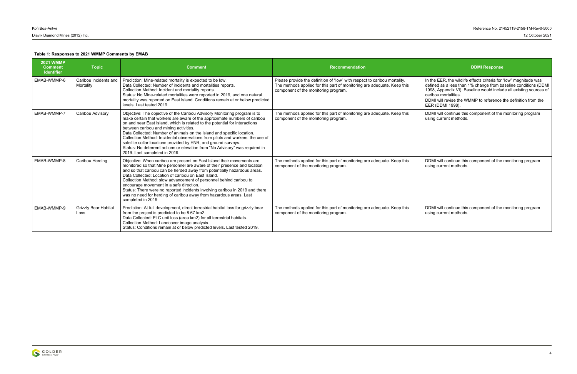In the EER, the wildlife effects criteria for "low" magnitude was defined as a less than 1% change from baseline conditions (DDMI 1998, Appendix VI). Baseline would include all existing sources of caribou mortalities.

DDMI will revise the WMMP to reference the definition from the EER (DDMI 1998).

| <b>2021 WMMP</b><br><b>Comment</b><br><b>Identifier</b> | <b>Topic</b>                        | <b>Comment</b>                                                                                                                                                                                                                                                                                                                                                                                                                                                                                                                                                                                                                  | <b>Recommendation</b>                                                                                                                                                                        | <b>DDMI Response</b>                                                                                                                                                                                                         |
|---------------------------------------------------------|-------------------------------------|---------------------------------------------------------------------------------------------------------------------------------------------------------------------------------------------------------------------------------------------------------------------------------------------------------------------------------------------------------------------------------------------------------------------------------------------------------------------------------------------------------------------------------------------------------------------------------------------------------------------------------|----------------------------------------------------------------------------------------------------------------------------------------------------------------------------------------------|------------------------------------------------------------------------------------------------------------------------------------------------------------------------------------------------------------------------------|
| EMAB-WMMP-6                                             | Caribou Incidents and<br>Mortality  | Prediction: Mine-related mortality is expected to be low.<br>Data Collected: Number of incidents and mortalities reports.<br>Collection Method: Incident and mortality reports.<br>Status: No Mine-related mortalities were reported in 2019, and one natural<br>mortality was reported on East Island. Conditions remain at or below predicted<br>levels. Last tested 2019.                                                                                                                                                                                                                                                    | Please provide the definition of "low" with respect to caribou mortality.<br>The methods applied for this part of monitoring are adequate. Keep this<br>component of the monitoring program. | In the EER, the wildlife effects criteria for<br>defined as a less than 1% change from ba<br>1998, Appendix VI). Baseline would includ<br>caribou mortalities.<br>DDMI will revise the WMMP to reference<br>EER (DDMI 1998). |
| EMAB-WMMP-7                                             | Caribou Advisory                    | Objective: The objective of the Caribou Advisory Monitoring program is to<br>make certain that workers are aware of the approximate numbers of caribou<br>on and near East Island, which is related to the potential for interactions<br>between caribou and mining activities.<br>Data Collected: Number of animals on the island and specific location.<br>Collection Method: Incidental observations from pilots and workers, the use of<br>satellite collar locations provided by ENR, and ground surveys.<br>Status: No deterrent actions or elevation from "No Advisory" was required in<br>2019. Last completed in 2019. | The methods applied for this part of monitoring are adequate. Keep this<br>component of the monitoring program.                                                                              | DDMI will continue this component of the<br>using current methods.                                                                                                                                                           |
| EMAB-WMMP-8                                             | Caribou Herding                     | Objective: When caribou are present on East Island their movements are<br>monitored so that Mine personnel are aware of their presence and location<br>and so that caribou can be herded away from potentially hazardous areas.<br>Data Collected: Location of caribou on East Island.<br>Collection Method: slow advancement of personnel behind caribou to<br>encourage movement in a safe direction.<br>Status: There were no reported incidents involving caribou in 2019 and there<br>was no need for herding of caribou away from hazardous areas. Last<br>completed in 2019.                                             | The methods applied for this part of monitoring are adequate. Keep this<br>component of the monitoring program.                                                                              | DDMI will continue this component of the<br>using current methods.                                                                                                                                                           |
| EMAB-WMMP-9                                             | <b>Grizzly Bear Habitat</b><br>Loss | Prediction: At full development, direct terrestrial habitat loss for grizzly bear<br>from the project is predicted to be 8.67 km2.<br>Data Collected: ELC unit loss (area km2) for all terrestrial habitats.<br>Collection Method: Landcover image analysis.<br>Status: Conditions remain at or below predicted levels. Last tested 2019.                                                                                                                                                                                                                                                                                       | The methods applied for this part of monitoring are adequate. Keep this<br>component of the monitoring program.                                                                              | DDMI will continue this component of the<br>using current methods.                                                                                                                                                           |



DDMI will continue this component of the monitoring program using current methods.

DDMI will continue this component of the monitoring program using current methods.

DDMI will continue this component of the monitoring program using current methods.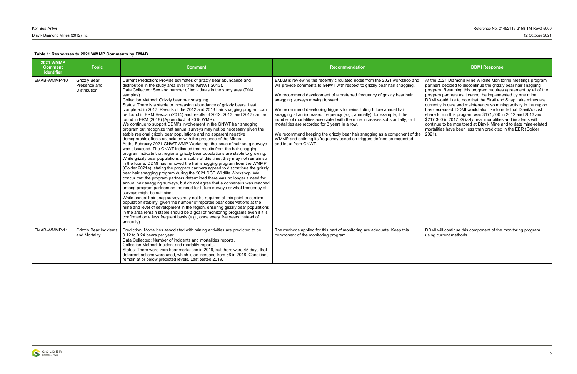At the 2021 Diamond Mine Wildlife Monitoring Meetings program partners decided to discontinue the grizzly bear hair snagging program. Resuming this program requires agreement by all of the program partners as it cannot be implemented by one mine. DDMI would like to note that the Ekati and Snap Lake mines are currently in care and maintenance so mining activity in the region has decreased. DDMI would also like to note that Diavik's cost share to run this program was \$171,500 in 2012 and 2013 and \$217,300 in 2017. Grizzly bear mortalities and incidents will continue to be monitored at Diavik Mine and to date mine-related mortalities have been less than predicted in the EER (Golder 2021).

DDMI will continue this component of the monitoring program using current methods.

| <b>2021 WMMP</b><br><b>Comment</b><br><b>Identifier</b> | <b>Topic</b>                                        | <b>Comment</b>                                                                                                                                                                                                                                                                                                                                                                                                                                                                                                                                                                                                                                                                                                                                                                                                                                                                                                                                                                                                                                                                                                                                                                                                                                                                                                                                                                                                                                                                                                                                                                                                                                                                                                                                                                                                                                                                                                                                                                                                                                                                                                            | Recommendation                                                                                                                                                                                                                                                                                                                                                                                                                                                                                                                                                                                                                                                                                                                               | <b>DDMI Response</b>                                                                                                                                                                                                                                                                                                                                                                                                                                                                                                     |
|---------------------------------------------------------|-----------------------------------------------------|---------------------------------------------------------------------------------------------------------------------------------------------------------------------------------------------------------------------------------------------------------------------------------------------------------------------------------------------------------------------------------------------------------------------------------------------------------------------------------------------------------------------------------------------------------------------------------------------------------------------------------------------------------------------------------------------------------------------------------------------------------------------------------------------------------------------------------------------------------------------------------------------------------------------------------------------------------------------------------------------------------------------------------------------------------------------------------------------------------------------------------------------------------------------------------------------------------------------------------------------------------------------------------------------------------------------------------------------------------------------------------------------------------------------------------------------------------------------------------------------------------------------------------------------------------------------------------------------------------------------------------------------------------------------------------------------------------------------------------------------------------------------------------------------------------------------------------------------------------------------------------------------------------------------------------------------------------------------------------------------------------------------------------------------------------------------------------------------------------------------------|----------------------------------------------------------------------------------------------------------------------------------------------------------------------------------------------------------------------------------------------------------------------------------------------------------------------------------------------------------------------------------------------------------------------------------------------------------------------------------------------------------------------------------------------------------------------------------------------------------------------------------------------------------------------------------------------------------------------------------------------|--------------------------------------------------------------------------------------------------------------------------------------------------------------------------------------------------------------------------------------------------------------------------------------------------------------------------------------------------------------------------------------------------------------------------------------------------------------------------------------------------------------------------|
| EMAB-WMMP-10                                            | <b>Grizzly Bear</b><br>Presence and<br>Distribution | Current Prediction: Provide estimates of grizzly bear abundance and<br>distribution in the study area over time (GNWT 2013).<br>Data Collected: Sex and number of individuals in the study area (DNA<br>samples).<br>Collection Method: Grizzly bear hair snagging.<br>Status: There is a stable or increasing abundance of grizzly bears. Last<br>completed in 2017. Results of the 2012 and 2013 hair snagging program can<br>be found in ERM Rescan (2014) and results of 2012, 2013, and 2017 can be<br>found in ERM (2018) (Appendix J of 2018 WMR).<br>We continue to support DDMI's involvement in the GNWT hair snagging<br>program but recognize that annual surveys may not be necessary given the<br>stable regional grizzly bear populations and no apparent negative<br>demographic effects associated with the presence of the Mines.<br>At the February 2021 GNWT WMP Workshop, the issue of hair snag surveys<br>was discussed. The GNWT indicated that results from the hair snagging<br>program indicate that regional grizzly bear populations are stable to growing.<br>While grizzly bear populations are stable at this time, they may not remain so<br>in the future. DDMI has removed the hair snagging program from the WMMP<br>(Golder 2021a), stating the program partners agreed to discontinue the grizzly<br>bear hair snagging program during the 2021 SGP Wildlife Workshop. We<br>concur that the program partners determined there was no longer a need for<br>annual hair snagging surveys, but do not agree that a consensus was reached<br>among program partners on the need for future surveys or what frequency of<br>surveys might be sufficient.<br>While annual hair snag surveys may not be required at this point to confirm<br>population stability, given the number of reported bear observations at the<br>mine and level of development in the region, ensuring grizzly bear populations<br>in the area remain stable should be a goal of monitoring programs even if it is<br>confirmed on a less frequent basis (e.g., once every five years instead of<br>annually). | EMAB is reviewing the recently circulated notes from the 2021 workshop and<br>will provide comments to GNWT with respect to grizzly bear hair snagging.<br>We recommend development of a preferred frequency of grizzly bear hair<br>snagging surveys moving forward.<br>We recommend developing triggers for reinstituting future annual hair<br>snagging at an increased frequency (e.g., annually), for example, if the<br>number of mortalities associated with the mine increases substantially, or if<br>mortalities are recorded for 3 years in a row.<br>We recommend keeping the grizzly bear hair snagging as a component of the<br>WMMP and defining its frequency based on triggers defined as requested<br>and input from GNWT. | At the 2021 Diamond Mine Wildlife Monito<br>partners decided to discontinue the grizzly<br>program. Resuming this program requires<br>program partners as it cannot be impleme<br>DDMI would like to note that the Ekati and<br>currently in care and maintenance so min<br>has decreased. DDMI would also like to n<br>share to run this program was \$171,500 in<br>\$217,300 in 2017. Grizzly bear mortalities<br>continue to be monitored at Diavik Mine a<br>mortalities have been less than predicted<br>$2021$ ). |
| EMAB-WMMP-11                                            | <b>Grizzly Bear Incidents</b><br>and Mortality      | Prediction: Mortalities associated with mining activities are predicted to be<br>0.12 to 0.24 bears per year.<br>Data Collected: Number of incidents and mortalities reports.<br>Collection Method: Incident and mortality reports.<br>Status: There were zero bear mortalities in 2019, but there were 45 days that<br>deterrent actions were used, which is an increase from 36 in 2018. Conditions<br>remain at or below predicted levels. Last tested 2019.                                                                                                                                                                                                                                                                                                                                                                                                                                                                                                                                                                                                                                                                                                                                                                                                                                                                                                                                                                                                                                                                                                                                                                                                                                                                                                                                                                                                                                                                                                                                                                                                                                                           | The methods applied for this part of monitoring are adequate. Keep this<br>component of the monitoring program.                                                                                                                                                                                                                                                                                                                                                                                                                                                                                                                                                                                                                              | DDMI will continue this component of the<br>using current methods.                                                                                                                                                                                                                                                                                                                                                                                                                                                       |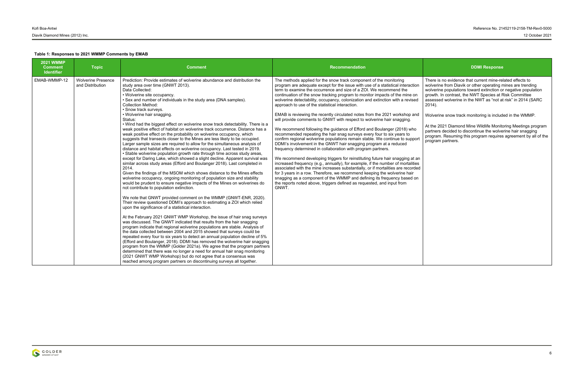| <b>2021 WMMP</b><br><b>Comment</b><br><b>Identifier</b> | <b>Topic</b>                                  | <b>Comment</b>                                                                                                                                                                                                                                                                                                                                                                                                                                                                                                                                                                                                                                                                                                                                                                                                                                                                                                                                                                                                                                                                                                                                                                                                                                                                                                                                                                                                                                                                                                                                                                                                                                                                                                                                                                                                                                                                                                                                                                                                                                                                                                                                                                                                                                                                                                                                         | <b>Recommendation</b>                                                                                                                                                                                                                                                                                                                                                                                                                                                                                                                                                                                                                                                                                                                                                                                                                                                                                                                                                                                                                                                                                                                                                                                                                                                                                                                                                                                                                                                              | <b>DDMI Response</b>                                                                                                                                                                                                                                                                                                                                                                                                                              |
|---------------------------------------------------------|-----------------------------------------------|--------------------------------------------------------------------------------------------------------------------------------------------------------------------------------------------------------------------------------------------------------------------------------------------------------------------------------------------------------------------------------------------------------------------------------------------------------------------------------------------------------------------------------------------------------------------------------------------------------------------------------------------------------------------------------------------------------------------------------------------------------------------------------------------------------------------------------------------------------------------------------------------------------------------------------------------------------------------------------------------------------------------------------------------------------------------------------------------------------------------------------------------------------------------------------------------------------------------------------------------------------------------------------------------------------------------------------------------------------------------------------------------------------------------------------------------------------------------------------------------------------------------------------------------------------------------------------------------------------------------------------------------------------------------------------------------------------------------------------------------------------------------------------------------------------------------------------------------------------------------------------------------------------------------------------------------------------------------------------------------------------------------------------------------------------------------------------------------------------------------------------------------------------------------------------------------------------------------------------------------------------------------------------------------------------------------------------------------------------|------------------------------------------------------------------------------------------------------------------------------------------------------------------------------------------------------------------------------------------------------------------------------------------------------------------------------------------------------------------------------------------------------------------------------------------------------------------------------------------------------------------------------------------------------------------------------------------------------------------------------------------------------------------------------------------------------------------------------------------------------------------------------------------------------------------------------------------------------------------------------------------------------------------------------------------------------------------------------------------------------------------------------------------------------------------------------------------------------------------------------------------------------------------------------------------------------------------------------------------------------------------------------------------------------------------------------------------------------------------------------------------------------------------------------------------------------------------------------------|---------------------------------------------------------------------------------------------------------------------------------------------------------------------------------------------------------------------------------------------------------------------------------------------------------------------------------------------------------------------------------------------------------------------------------------------------|
| EMAB-WMMP-12                                            | <b>Wolverine Presence</b><br>and Distribution | Prediction: Provide estimates of wolverine abundance and distribution the<br>study area over time (GNWT 2013).<br>Data Collected:<br>• Wolverine site occupancy.<br>• Sex and number of individuals in the study area (DNA samples).<br><b>Collection Method:</b><br>• Snow track surveys.<br>• Wolverine hair snagging.<br>Status:<br>. Wind had the biggest effect on wolverine snow track detectability. There is a<br>weak positive effect of habitat on wolverine track occurrence. Distance has a<br>weak positive effect on the probability on wolverine occupancy, which<br>suggests that transects closer to the Mines are less likely to be occupied.<br>Larger sample sizes are required to allow for the simultaneous analysis of<br>distance and habitat effects on wolverine occupancy. Last tested in 2019.<br>• Stable wolverine population growth rate through time across study areas,<br>except for Daring Lake, which showed a slight decline. Apparent survival was<br>similar across study areas (Efford and Boulanger 2018). Last completed in<br>2014.<br>Given the findings of the MSOM which shows distance to the Mines effects<br>wolverine occupancy, ongoing monitoring of population size and stability<br>would be prudent to ensure negative impacts of the Mines on wolverines do<br>not contribute to population extinction.<br>We note that GNWT provided comment on the WMMP (GNWT-ENR, 2020).<br>Their review questioned DDMI's approach to estimating a ZOI which relied<br>upon the significance of a statistical interaction.<br>At the February 2021 GNWT WMP Workshop, the issue of hair snag surveys<br>was discussed. The GNWT indicated that results from the hair snagging<br>program indicate that regional wolverine populations are stable. Analysis of<br>the data collected between 2004 and 2015 showed that surveys could be<br>repeated every four to six years to detect an annual population decline of 5%<br>(Efford and Boulanger, 2018). DDMI has removed the wolverine hair snagging<br>program from the WMMP (Golder 2021a). We agree that the program partners<br>determined that there was no longer a need for annual hair snag monitoring<br>(2021 GNWT WMP Workshop) but do not agree that a consensus was<br>reached among program partners on discontinuing surveys all together. | The methods applied for the snow track component of the monitoring<br>program are adequate except for the issue with use of a statistical interaction<br>term to examine the occurrence and size of a ZOI. We recommend the<br>continuation of the snow tracking program to monitor impacts of the mine on<br>wolverine detectability, occupancy, colonization and extinction with a revised<br>approach to use of the statistical interaction.<br>EMAB is reviewing the recently circulated notes from the 2021 workshop and<br>will provide comments to GNWT with respect to wolverine hair snagging.<br>We recommend following the guidance of Efford and Boulanger (2018) who<br>recommended repeating the hair snag surveys every four to six years to<br>confirm regional wolverine populations remain stable. We continue to support<br>DDMI's involvement in the GNWT hair snagging program at a reduced<br>frequency determined in collaboration with program partners.<br>We recommend developing triggers for reinstituting future hair snagging at an<br>increased frequency (e.g., annually), for example, if the number of mortalities<br>associated with the mine increases substantially, or if mortalities are recorded<br>for 3 years in a row. Therefore, we recommend keeping the wolverine hair<br>snagging as a component of the WMMP and defining its frequency based on<br>the reports noted above, triggers defined as requested, and input from<br>GNWT. | There is no evidence that current mine-re<br>wolverine from Diavik or other operating r<br>wolverine populations toward extinction of<br>growth. In contrast, the NWT Species at F<br>assessed wolverine in the NWT as "not at<br>$2014$ ).<br>Wolverine snow track monitoring is includ<br>At the 2021 Diamond Mine Wildlife Monito<br>partners decided to discontinue the wolve<br>program. Resuming this program requires<br>program partners. |

There is no evidence that current mine-related effects to wolverine from Diavik or other operating mines are trending wolverine populations toward extinction or negative population growth. In contrast, the NWT Species at Risk Committee assessed wolverine in the NWT as "not at risk" in 2014 (SARC 2014).

Wolverine snow track monitoring is included in the WMMP.

At the 2021 Diamond Mine Wildlife Monitoring Meetings program partners decided to discontinue the wolverine hair snagging program. Resuming this program requires agreement by all of the program partners.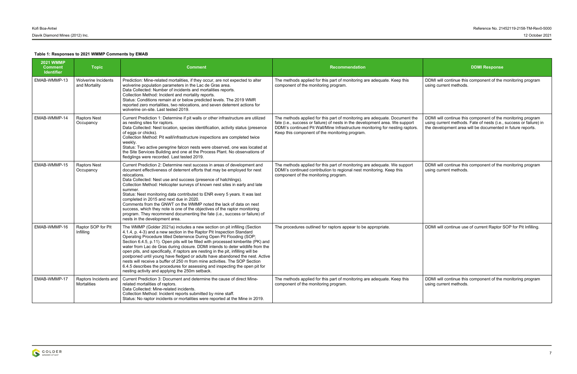DDMI will continue this component of the monitoring program using current methods.

### **Table 1: Responses to 2021 WMMP Comments by EMAB**

DDMI will continue this component of the monitoring program using current methods.

DDMI will continue use of current Raptor SOP for Pit Infilling.

DDMI will continue this component of the monitoring program using current methods. Fate of nests (i.e., success or failure) in the development area will be documented in future reports.

| <b>2021 WMMP</b><br><b>Comment</b><br><b>Identifier</b> | <b>Topic</b>                                | <b>Comment</b>                                                                                                                                                                                                                                                                                                                                                                                                                                                                                                                                                                                                                                                                                                                                                                          | <b>Recommendation</b>                                                                                                                                                                                                                                                                         | <b>DDMI Response</b>                                                                                                               |
|---------------------------------------------------------|---------------------------------------------|-----------------------------------------------------------------------------------------------------------------------------------------------------------------------------------------------------------------------------------------------------------------------------------------------------------------------------------------------------------------------------------------------------------------------------------------------------------------------------------------------------------------------------------------------------------------------------------------------------------------------------------------------------------------------------------------------------------------------------------------------------------------------------------------|-----------------------------------------------------------------------------------------------------------------------------------------------------------------------------------------------------------------------------------------------------------------------------------------------|------------------------------------------------------------------------------------------------------------------------------------|
| EMAB-WMMP-13                                            | Wolverine Incidents<br>and Mortality        | Prediction: Mine-related mortalities, if they occur, are not expected to alter<br>wolverine population parameters in the Lac de Gras area.<br>Data Collected: Number of incidents and mortalities reports.<br>Collection Method: Incident and mortality reports.<br>Status: Conditions remain at or below predicted levels. The 2019 WMR<br>reported zero mortalities, two relocations, and seven deterrent actions for<br>wolverine on-site. Last tested 2019.                                                                                                                                                                                                                                                                                                                         | The methods applied for this part of monitoring are adequate. Keep this<br>component of the monitoring program.                                                                                                                                                                               | DDMI will continue this component of the<br>using current methods.                                                                 |
| EMAB-WMMP-14                                            | <b>Raptors Nest</b><br>Occupancy            | Current Prediction 1: Determine if pit walls or other infrastructure are utilized<br>as nesting sites for raptors.<br>Data Collected: Nest location, species identification, activity status (presence<br>of eggs or chicks).<br>Collection Method: Pit wall/infrastructure inspections are completed twice<br>weekly.<br>Status: Two active peregrine falcon nests were observed, one was located at<br>the Site Services Building and one at the Process Plant. No observations of<br>fledglings were recorded. Last tested 2019.                                                                                                                                                                                                                                                     | The methods applied for this part of monitoring are adequate. Document the<br>fate (i.e., success or failure) of nests in the development area. We support<br>DDMI's continued Pit Wall/Mine Infrastructure monitoring for nesting raptors.<br>Keep this component of the monitoring program. | DDMI will continue this component of the<br>using current methods. Fate of nests (i.e.,<br>the development area will be documented |
| EMAB-WMMP-15                                            | <b>Raptors Nest</b><br>Occupancy            | Current Prediction 2: Determine nest success in areas of development and<br>document effectiveness of deterrent efforts that may be employed for nest<br>relocations.<br>Data Collected: Nest use and success (presence of hatchlings).<br>Collection Method: Helicopter surveys of known nest sites in early and late<br>summer.<br>Status: Nest monitoring data contributed to ENR every 5 years. It was last<br>completed in 2015 and next due in 2020.<br>Comments from the GNWT on the WMMP noted the lack of data on nest<br>success, which they note is one of the objectives of the raptor monitoring<br>program. They recommend documenting the fate (i.e., success or failure) of<br>nests in the development area.                                                           | The methods applied for this part of monitoring are adequate. We support<br>DDMI's continued contribution to regional nest monitoring. Keep this<br>component of the monitoring program.                                                                                                      | DDMI will continue this component of the<br>using current methods.                                                                 |
| EMAB-WMMP-16                                            | Raptor SOP for Pit<br>Infilling             | The WMMP (Golder 2021a) includes a new section on pit infilling (Section<br>4.1.4, p. 4-3) and a new section in the Raptor Pit Inspection Standard<br>Operating Procedure titled Deterrence During Open Pit Flooding (SOP;<br>Section 6.4.5, p.11). Open pits will be filled with processed kimberlite (PK) and<br>water from Lac de Gras during closure. DDMI intends to deter wildlife from the<br>open pits, and specifically, if raptors are nesting in the pit, infilling will be<br>postponed until young have fledged or adults have abandoned the nest. Active<br>nests will receive a buffer of 250 m from mine activities. The SOP Section<br>6.4.5 describes the procedures for assessing and inspecting the open pit for<br>nesting activity and applying the 250m setback. | The procedures outlined for raptors appear to be appropriate.                                                                                                                                                                                                                                 | DDMI will continue use of current Raptor !                                                                                         |
| EMAB-WMMP-17                                            | Raptors Incidents and<br><b>Mortalities</b> | Current Prediction 3: Document and determine the cause of direct Mine-<br>related mortalities of raptors.<br>Data Collected: Mine-related incidents.<br>Collection Method: Incident reports submitted by mine staff.<br>Status: No raptor incidents or mortalities were reported at the Mine in 2019.                                                                                                                                                                                                                                                                                                                                                                                                                                                                                   | The methods applied for this part of monitoring are adequate. Keep this<br>component of the monitoring program.                                                                                                                                                                               | DDMI will continue this component of the<br>using current methods.                                                                 |

DDMI will continue this component of the monitoring program using current methods.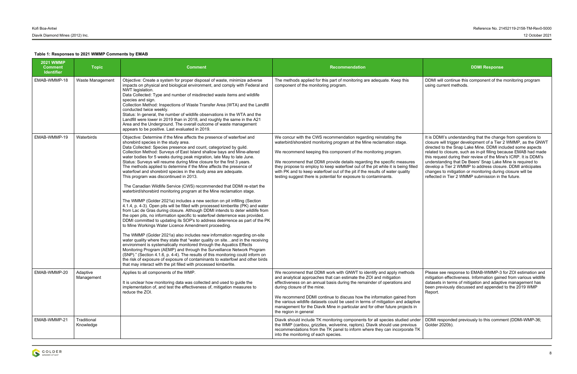DDMI will continue this component of the monitoring program using current methods.

| <b>2021 WMMP</b><br><b>Comment</b><br><b>Identifier</b> | <b>Topic</b>             | <b>Comment</b>                                                                                                                                                                                                                                                                                                                                                                                                                                                                                                                                                                                                                                                                                                                                                                                                                                                                                                                                                                                                                                                                                                                                                                                                                                                                                                                                                                                                                                                                                                                                                                                                                                                                                                                                                                              | Recommendation                                                                                                                                                                                                                                                                                                                                                                                                                                                                                                               | <b>DDMI Response</b>                                                                                                                                                                                                                                                                                                                                                                                                 |
|---------------------------------------------------------|--------------------------|---------------------------------------------------------------------------------------------------------------------------------------------------------------------------------------------------------------------------------------------------------------------------------------------------------------------------------------------------------------------------------------------------------------------------------------------------------------------------------------------------------------------------------------------------------------------------------------------------------------------------------------------------------------------------------------------------------------------------------------------------------------------------------------------------------------------------------------------------------------------------------------------------------------------------------------------------------------------------------------------------------------------------------------------------------------------------------------------------------------------------------------------------------------------------------------------------------------------------------------------------------------------------------------------------------------------------------------------------------------------------------------------------------------------------------------------------------------------------------------------------------------------------------------------------------------------------------------------------------------------------------------------------------------------------------------------------------------------------------------------------------------------------------------------|------------------------------------------------------------------------------------------------------------------------------------------------------------------------------------------------------------------------------------------------------------------------------------------------------------------------------------------------------------------------------------------------------------------------------------------------------------------------------------------------------------------------------|----------------------------------------------------------------------------------------------------------------------------------------------------------------------------------------------------------------------------------------------------------------------------------------------------------------------------------------------------------------------------------------------------------------------|
| EMAB-WMMP-18                                            | Waste Management         | Objective: Create a system for proper disposal of waste, minimize adverse<br>impacts on physical and biological environment, and comply with Federal and<br>NWT legislation.<br>Data Collected: Type and number of misdirected waste items and wildlife<br>species and sign.<br>Collection Method: Inspections of Waste Transfer Area (WTA) and the Landfill<br>conducted twice weekly.<br>Status: In general, the number of wildlife observations in the WTA and the<br>Landfill were lower in 2019 than in 2018, and roughly the same in the A21<br>Area and the Underground. The overall outcome of waste management<br>appears to be positive. Last evaluated in 2019.                                                                                                                                                                                                                                                                                                                                                                                                                                                                                                                                                                                                                                                                                                                                                                                                                                                                                                                                                                                                                                                                                                                  | The methods applied for this part of monitoring are adequate. Keep this<br>component of the monitoring program.                                                                                                                                                                                                                                                                                                                                                                                                              | DDMI will continue this component of the<br>using current methods.                                                                                                                                                                                                                                                                                                                                                   |
| EMAB-WMMP-19                                            | Waterbirds               | Objective: Determine if the Mine affects the presence of waterfowl and<br>shorebird species in the study area.<br>Data Collected: Species presence and count, categorized by guild.<br>Collection Method: Surveys of East Island shallow bays and Mine-altered<br>water bodies for 5 weeks during peak migration, late May to late June.<br>Status: Surveys will resume during Mine closure for the first 3 years.<br>The methods applied to determine if the Mine affects the presence of<br>waterfowl and shorebird species in the study area are adequate.<br>This program was discontinued in 2013.<br>The Canadian Wildlife Service (CWS) recommended that DDMI re-start the<br>waterbird/shorebird monitoring program at the Mine reclamation stage.<br>The WMMP (Golder 2021a) includes a new section on pit infilling (Section<br>4.1.4, p. 4-3). Open pits will be filled with processed kimberlite (PK) and water<br>from Lac de Gras during closure. Although DDMI intends to deter wildlife from<br>the open pits, no information specific to waterfowl deterrence was provided.<br>DDMI committed to updating its SOP's to address deterrence as part of the PK<br>to Mine Workings Water Licence Amendment proceeding.<br>The WMMP (Golder 2021a) also includes new information regarding on-site<br>water quality where they state that "water quality on siteand in the receiving<br>environment is systematically monitored through the Aquatics Effects<br>Monitoring Program (AEMP) and through the Surveillance Network Program<br>(SNP)." (Section 4.1.6, p. 4-4). The results of this monitoring could inform on<br>the risk of exposure of exposure of contaminants to waterfowl and other birds<br>that may interact with the pit filled with processed kimberlite. | We concur with the CWS recommendation regarding reinstating the<br>waterbird/shorebird monitoring program at the Mine reclamation stage.<br>We recommend keeping this component of the monitoring program.<br>We recommend that DDMI provide details regarding the specific measures<br>they propose to employ to keep waterfowl out of the pit while it is being filled<br>with PK and to keep waterfowl out of the pit if the results of water quality<br>testing suggest there is potential for exposure to contaminants. | It is DDMI's understanding that the chang<br>closure will trigger development of a Tier:<br>directed to the Snap Lake Mine. DDMI ind<br>related to closure, such as in-pit filling bed<br>this request during their review of the Min<br>understanding that De Beers' Snap Lake<br>develop a Tier 2 WMMP to address closu<br>changes to mitigation or monitoring during<br>reflected in Tier 2 WMMP submission in tl |
| EMAB-WMMP-20                                            | Adaptive<br>Management   | Applies to all components of the WMP.<br>It is unclear how monitoring data was collected and used to guide the<br>implementation of, and test the effectiveness of, mitigation measures to<br>reduce the ZOI.                                                                                                                                                                                                                                                                                                                                                                                                                                                                                                                                                                                                                                                                                                                                                                                                                                                                                                                                                                                                                                                                                                                                                                                                                                                                                                                                                                                                                                                                                                                                                                               | We recommend that DDMI work with GNWT to identify and apply methods<br>and analytical approaches that can estimate the ZOI and mitigation<br>effectiveness on an annual basis during the remainder of operations and<br>during closure of the mine.<br>We recommend DDMI continue to discuss how the information gained from<br>the various wildlife datasets could be used in terms of mitigation and adaptive<br>management for the Diavik Mine in particular and for other future projects in<br>the region in general    | Please see response to EMAB-WMMP-3<br>mitigation effectiveness. Information gaine<br>datasets in terms of mitigation and adapti<br>been previously discussed and appended<br>Report.                                                                                                                                                                                                                                 |
| EMAB-WMMP-21                                            | Traditional<br>Knowledge |                                                                                                                                                                                                                                                                                                                                                                                                                                                                                                                                                                                                                                                                                                                                                                                                                                                                                                                                                                                                                                                                                                                                                                                                                                                                                                                                                                                                                                                                                                                                                                                                                                                                                                                                                                                             | Diavik should include TK monitoring components for all species studied under<br>the WMP (caribou, grizzlies, wolverine, raptors). Diavik should use previous<br>recommendations from the TK panel to inform where they can incorporate TK<br>into the monitoring of each species.                                                                                                                                                                                                                                            | DDMI responded previously to this comm<br>Golder 2020b).                                                                                                                                                                                                                                                                                                                                                             |



It is DDMI's understanding that the change from operations to closure will trigger development of a Tier 2 WMMP, as the GNWT directed to the Snap Lake Mine. DDMI included some aspects related to closure, such as in-pit filling because EMAB had made this request during their review of the Mine's ICRP. It is DDMI's understanding that De Beers' Snap Lake Mine is required to develop a Tier 2 WMMP to address closure. DDMI anticipates changes to mitigation or monitoring during closure will be reflected in Tier 2 WMMP submission in the future.

Please see response to EMAB-WMMP-3 for ZOI estimation and mitigation effectiveness. Information gained from various wildlife datasets in terms of mitigation and adaptive management has been previously discussed and appended to the 2019 WMP Report.

DDMI responded previously to this comment (DDMI-WMP-36; Golder 2020b).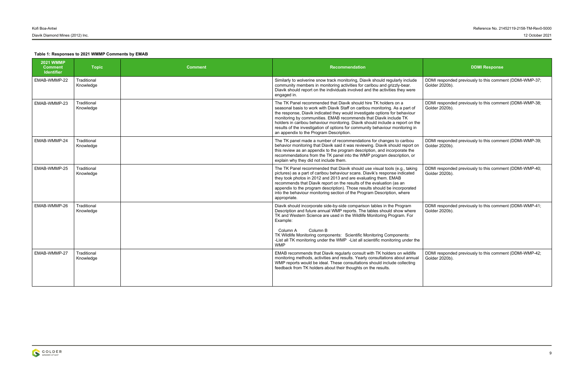DDMI responded previously to this comment (DDMI-WMP-37; Golder 2020b).

DDMI responded previously to this comment (DDMI-WMP-39; Golder 2020b).

DDMI responded previously to this comment (DDMI-WMP-40; Golder 2020b).

DDMI responded previously to this comment (DDMI-WMP-38; Golder 2020b).

DDMI responded previously to this comment (DDMI-WMP-41; Golder 2020b).

| <b>2021 WMMP</b><br><b>Comment</b><br><b>Identifier</b> | <b>Topic</b>             | <b>Comment</b> | Recommendation                                                                                                                                                                                                                                                                                                                                                                                                                                                                                                     | <b>DDMI Response</b>                                     |
|---------------------------------------------------------|--------------------------|----------------|--------------------------------------------------------------------------------------------------------------------------------------------------------------------------------------------------------------------------------------------------------------------------------------------------------------------------------------------------------------------------------------------------------------------------------------------------------------------------------------------------------------------|----------------------------------------------------------|
| EMAB-WMMP-22                                            | Traditional<br>Knowledge |                | Similarly to wolverine snow track monitoring, Diavik should regularly include<br>community members in monitoring activities for caribou and grizzly-bear.<br>Diavik should report on the individuals involved and the activities they were<br>engaged in.                                                                                                                                                                                                                                                          | DDMI responded previously to this comm<br>Golder 2020b). |
| EMAB-WMMP-23                                            | Traditional<br>Knowledge |                | The TK Panel recommended that Diavik should hire TK holders on a<br>seasonal basis to work with Diavik Staff on caribou monitoring. As a part of<br>the response, Diavik indicated they would investigate options for behaviour<br>monitoring by communities. EMAB recommends that Diavik include TK<br>holders in caribou behaviour monitoring. Diavik should include a report on the<br>results of the investigation of options for community behaviour monitoring in<br>an appendix to the Program Description. | DDMI responded previously to this comm<br>Golder 2020b). |
| EMAB-WMMP-24                                            | Traditional<br>Knowledge |                | The TK panel made a number of recommendations for changes to caribou<br>behavior monitoring that Diavik said it was reviewing. Diavik should report on<br>this review as an appendix to the program description, and incorporate the<br>recommendations from the TK panel into the WMP program description, or<br>explain why they did not include them.                                                                                                                                                           | DDMI responded previously to this comm<br>Golder 2020b). |
| EMAB-WMMP-25                                            | Traditional<br>Knowledge |                | The TK Panel recommended that Diavik should use visual tools (e.g., taking<br>pictures) as a part of caribou behaviour scans. Diavik's response indicated<br>they took photos in 2012 and 2013 and are evaluating them. EMAB<br>recommends that Diavik report on the results of the evaluation (as an<br>appendix to the program description). Those results should be incorporated<br>into the behaviour monitoring section of the Program Description, where<br>appropriate.                                     | DDMI responded previously to this comm<br>Golder 2020b). |
| EMAB-WMMP-26                                            | Traditional<br>Knowledge |                | Diavik should incorporate side-by-side comparison tables in the Program<br>Description and future annual WMP reports. The tables should show where<br>TK and Western Science are used in the Wildlife Monitoring Program. For<br>Example:<br>Column B<br>Column A<br>TK Wildlife Monitoring components: Scientific Monitoring Components:<br>-List all TK monitoring under the WMP -List all scientific monitoring under the<br><b>WMP</b>                                                                         | DDMI responded previously to this comm<br>Golder 2020b). |
| EMAB-WMMP-27                                            | Traditional<br>Knowledge |                | EMAB recommends that Diavik regularly consult with TK holders on wildlife<br>monitoring methods, activities and results. Yearly consultations about annual<br>WMP reports would be ideal. These consultations should include collecting<br>feedback from TK holders about their thoughts on the results.                                                                                                                                                                                                           | DDMI responded previously to this comm<br>Golder 2020b). |



DDMI responded previously to this comment (DDMI-WMP-42; Golder 2020b).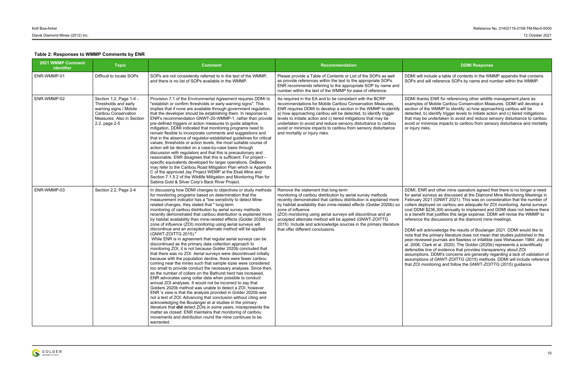include a table of contents in the WMMP appendix that contains will reference SOPs by name and number within the WMMP.

iks ENR for referencing other wildlife management plans as of Mobile Caribou Conservation Measures. DDMI will develop a the WMMP to identify: a) how approaching caribou will be b) identify trigger levels to initiate action and c) tiered mitigations be undertaken to avoid and reduce sensory disturbance to caribou ninimize impacts to caribou from sensory disturbance and mortality sks.

IR and other mine operators agreed that there is no longer a need surveys as discussed at the Diamond Mine Monitoring Meetings in 2021 (GNWT 2021). This was on consideration that the number of bloyed on caribou are adequate for ZOI monitoring. Aerial surveys \$236,300 annually to implement and DDMI does not believe there t that justifies this large expense. DDMI will revise the WMMP to the discussions at the diamond mine meetings.

acknowledge the results of Boulanger 2021. DDMI would like to he primary literature does not mean that studies published in the wed journals are flawless or infallible (see Wehausen 1984; Joly et Clark et al. 2020). The Golder (2020b) represents a scientifically line of evidence that provides transparency about ZOI ns. DDMI's concerns are generally regarding a lack of validation of ns of GNWT-ZOITTG (2015) methods. DDMI will include reference nonitoring and follow the GNWT-ZOITTG (2015) guidance.

| 2021 WMMP Comment<br><b>Identifier</b> | <b>Topic</b>                                                                                                                                    | <b>Comment</b>                                                                                                                                                                                                                                                                                                                                                                                                                                                                                                                                                                                                                                                                                                                                                                                                                                                                                                                                                                                                                                                                                                                                                                                                                                                                                                                                                                                                                                                                                                                                                                                                                                                                                                                                        | Recommendation                                                                                                                                                                                                                                                                                                                                                                                                                                                                                          | <b>DDMI Response</b>                                                                                                                                                                                                                                                                                                                                                                                                                                                                                                                                                                                                                                                                                                                                                 |
|----------------------------------------|-------------------------------------------------------------------------------------------------------------------------------------------------|-------------------------------------------------------------------------------------------------------------------------------------------------------------------------------------------------------------------------------------------------------------------------------------------------------------------------------------------------------------------------------------------------------------------------------------------------------------------------------------------------------------------------------------------------------------------------------------------------------------------------------------------------------------------------------------------------------------------------------------------------------------------------------------------------------------------------------------------------------------------------------------------------------------------------------------------------------------------------------------------------------------------------------------------------------------------------------------------------------------------------------------------------------------------------------------------------------------------------------------------------------------------------------------------------------------------------------------------------------------------------------------------------------------------------------------------------------------------------------------------------------------------------------------------------------------------------------------------------------------------------------------------------------------------------------------------------------------------------------------------------------|---------------------------------------------------------------------------------------------------------------------------------------------------------------------------------------------------------------------------------------------------------------------------------------------------------------------------------------------------------------------------------------------------------------------------------------------------------------------------------------------------------|----------------------------------------------------------------------------------------------------------------------------------------------------------------------------------------------------------------------------------------------------------------------------------------------------------------------------------------------------------------------------------------------------------------------------------------------------------------------------------------------------------------------------------------------------------------------------------------------------------------------------------------------------------------------------------------------------------------------------------------------------------------------|
| ENR-WMMP-01                            | Difficult to locate SOPs                                                                                                                        | SOPs are not consistently referred to in the text of the WMMP,<br>and there is no list of SOPs available in the WMMP.                                                                                                                                                                                                                                                                                                                                                                                                                                                                                                                                                                                                                                                                                                                                                                                                                                                                                                                                                                                                                                                                                                                                                                                                                                                                                                                                                                                                                                                                                                                                                                                                                                 | Please provide a Table of Contents or List of the SOPs as well<br>as provide references within the text to the appropriate SOPs.<br>ENR recommends referring to the appropriate SOP by name and<br>number within the text of the WMMP for ease of reference.                                                                                                                                                                                                                                            | DDMI will include a table of contents in the WM<br>SOPs and will reference SOPs by name and nu                                                                                                                                                                                                                                                                                                                                                                                                                                                                                                                                                                                                                                                                       |
| ENR-WMMP-02                            | Section 1.2, Page 1-4 -<br>Thresholds and early<br>warning signs / Mobile<br>Caribou Conservation<br>Measures. Also in Section<br>2.2, page 2-5 | Provision 7.1 of the Environmental Agreement requires DDMI to<br>"establish or confirm thresholds or early warning signs". This<br>implies that if none are available through government regulation,<br>that the developer should be establishing them. In response to<br>ENR's recommendation GNWT-20-WMMP-1, rather than provide<br>pre-defined triggers or action measures to guide adaptive<br>mitigation, DDMI indicated that monitoring programs need to<br>remain flexible to incorporate comments and suggestions and<br>that in the absence of regulator-established guidelines for critical<br>values, thresholds or action levels, the most suitable course of<br>action will be decided on a case-by-case basis through<br>discussion with regulators and that this is precautionary and<br>reasonable. ENR disagrees that this is sufficient. For project -<br>specific equivalents developed for larger operations, DeBeers<br>may refer to the Caribou Road Mitigation Plan which is Appendix<br>C of the approved Jay Project WEMP at the Ekati Mine and<br>Section 7.1.5.2 of the Wildlife Mitigation and Monitoring Plan for<br>Sabina Gold & Silver Corp's Back River Project.                                                                                                                                                                                                                                                                                                                                                                                                                                                                                                                                                     | As required in the EA and to be consistent with the BCRP<br>recommendations for Mobile Caribou Conservation Measures.<br>ENR requires DDMI to develop a section in the WMMP to identify<br>a) how approaching caribou will be detected, b) identify trigger<br>levels to initiate action and c) tiered mitigations that may be<br>undertaken to avoid and reduce sensory disturbance to caribou<br>avoid or minimize impacts to caribou from sensory disturbance<br>and mortality or injury risks.      | DDMI thanks ENR for referencing other wildlife<br>examples of Mobile Caribou Conservation Mea<br>section of the WMMP to identify: a) how approa<br>detected, b) identify trigger levels to initiate acti<br>that may be undertaken to avoid and reduce se<br>avoid or minimize impacts to caribou from sens<br>or injury risks.                                                                                                                                                                                                                                                                                                                                                                                                                                      |
| ENR-WMMP-03                            | Section 2.2, Page 2-4                                                                                                                           | In discussing how DDMI changes to objectives or study methods<br>for monitoring programs based on determination that the<br>measurement indicator has a "low sensitivity to detect Mine-<br>related changes, they stated that " long-term<br>monitoring of caribou distribution by aerial survey methods<br>recently demonstrated that caribou distribution is explained more<br>by habitat availability than mine-related effects (Golder 2020b) so<br>zone of influence (ZOI) monitoring using aerial surveys will<br>discontinue and an accepted alternate method will be applied<br>(GNWT-ZOITTG 2015)."<br>While ENR is in agreement that regular aerial surveys can be<br>discontinued as the primary data collection approach to<br>monitoring ZOI, it is not because Golder 2020b concluded that<br>that there was no ZOI. Aerial surveys were discontinued initially<br>because with the population decline, there were fewer caribou<br>coming near the mines such that sample sizes were considered<br>too small to provide conduct the necessary analyses. Since then,<br>as the number of collars on the Bathurst herd has increased,<br>ENR advocates using collar data when possible to conduct<br>annual ZOI analyses. It would not be incorrect to say that<br>Golders 2020b method was unable to detect a ZOI, however<br>ENR 's view is that the analysis provided in Golder 2020b was<br>not a test of ZOI. Advancing that conclusion without citing and<br>acknowledging the Boulanger et al studies in the primary<br>literature that did detect ZOIs in some years, misrepresents the<br>matter as closed. ENR maintains that monitoring of caribou<br>movements and distribution round the mine continues to be<br>warranted. | Remove the statement that long-term<br>monitoring of caribou distribution by aerial survey methods<br>recently demonstrated that caribou distribution is explained more<br>by habitat availability than mine-related effects (Golder 2020b) so<br>zone of influence<br>(ZOI) monitoring using aerial surveys will discontinue and an<br>accepted alternate method will be applied (GNWT-ZOITTG<br>2015). Include and acknowledge sources in the primary literature<br>that offer different conclusions. | DDMI, ENR and other mine operators agreed tl<br>for aerial surveys as discussed at the Diamond<br>February 2021 (GNWT 2021). This was on con<br>collars deployed on caribou are adequate for Z<br>cost DDMI \$236,300 annually to implement and<br>is a benefit that justifies this large expense. DD<br>reference the discussions at the diamond mine<br>DDMI will acknowledge the results of Boulange<br>note that the primary literature does not mean t<br>peer-reviewed journals are flawless or infallible<br>al. 2006, Clark et al. 2020). The Golder (2020b<br>defensible line of evidence that provides transp<br>assumptions. DDMI's concerns are generally re<br>assumptions of GNWT-ZOITTG (2015) method<br>that ZOI monitoring and follow the GNWT-ZOIT |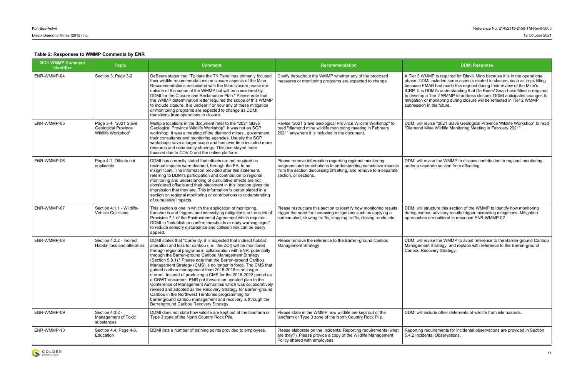VMMP is required for Diavik Mine because it is in the operational DMI included some aspects related to closure, such as in-pit filling EMAB had made this request during their review of the Mine's DDMI's understanding that De Beers' Snap Lake Mine is required a Tier 2 WMMP to address closure. DDMI anticipates changes to or monitoring during closure will be reflected in Tier 2 WMMP on in the future.

revise "2021 Slave Geological Province Wildlife Workshop" to read I Mine Wildlife Monitoring Meeting in February 2021".

revise the WMMP to discuss contribution to regional monitoring eparate section from offsetting.

structure this section of the WMMP to identify how monitoring ribou advisory results trigger increasing mitigations. Mitigation es are outlined in response ENR-WMMP-02.

revise the WMMP to avoid reference to the Barren-ground Caribou ent Strategy, and replace with reference to the Barren-ground Recovery Strategy.

include other deterrents of wildlife from site hazards.

Requirements for incidental observations are provided in Section dental Observations.

| 2021 WMMP Comment<br><b>Identifier</b> | <b>Topic</b>                                                              | <b>Comment</b>                                                                                                                                                                                                                                                                                                                                                                                                                                                                                                                                                                                                                                                                                                                                                                                                                                                                                    | <b>Recommendation</b>                                                                                                                                                                                                  | <b>DDMI Response</b>                                                                                                                                                                                                                                                                                                              |
|----------------------------------------|---------------------------------------------------------------------------|---------------------------------------------------------------------------------------------------------------------------------------------------------------------------------------------------------------------------------------------------------------------------------------------------------------------------------------------------------------------------------------------------------------------------------------------------------------------------------------------------------------------------------------------------------------------------------------------------------------------------------------------------------------------------------------------------------------------------------------------------------------------------------------------------------------------------------------------------------------------------------------------------|------------------------------------------------------------------------------------------------------------------------------------------------------------------------------------------------------------------------|-----------------------------------------------------------------------------------------------------------------------------------------------------------------------------------------------------------------------------------------------------------------------------------------------------------------------------------|
| ENR-WMMP-04                            | Section 3, Page 3-2                                                       | DeBeers states that "To date the TK Panel has primarily focused<br>their wildlife recommendations on closure aspects of the Mine.<br>Recommendations associated with the Mine closure phase are<br>outside of the scope of the WMMP but will be considered by<br>DDMI for the Closure and Reclamation Plan." Please note that<br>the WMMP determination letter required the scope of this WMMP<br>to include closure. It is unclear if or how any of these mitigation<br>or monitoring programs are expected to change as DDMI<br>transitions from operations to closure.                                                                                                                                                                                                                                                                                                                         | Clarify throughout the WMMP whether any of the proposed<br>measures or monitoring programs are expected to change.                                                                                                     | A Tier 3 WMMP is required for Diavik Mine bec<br>phase. DDMI included some aspects related to<br>because EMAB had made this request during t<br>ICRP. It is DDMI's understanding that De Beers<br>to develop a Tier 2 WMMP to address closure.<br>mitigation or monitoring during closure will be re<br>submission in the future. |
| ENR-WMMP-05                            | Page 3-4, "2021 Slave<br><b>Geological Province</b><br>Wildlife Workshop" | Multiple locations in the document refer to the "2021 Slave<br>Geological Province Wildlife Workshop". It was not an SGP<br>workshop. It was a meeting of the diamond mines, government,<br>their consultants and monitoring agencies. Usually the SGP<br>workshops have a larger scope and has over time included more<br>research and community sharings. This one stayed more<br>focused due to COVID and the online platform.                                                                                                                                                                                                                                                                                                                                                                                                                                                                 | Revise "2021 Slave Geological Province Wildlife Workshop" to<br>read "diamond mine wildlife monitoring meeting in February<br>2021" anywhere it is included in the document.                                           | DDMI will revise "2021 Slave Geological Provir<br>"Diamond Mine Wildlife Monitoring Meeting in F                                                                                                                                                                                                                                  |
| ENR-WMMP-06                            | Page 4-1, Offsets not<br>applicable                                       | DDMI has correctly stated that offsets are not required as<br>residual impacts were deemed, through the EA, to be<br>insignificant. The information provided after this statement,<br>referring to DDMI's participation and contribution to regional<br>monitoring and understanding of cumulative effects are not<br>considered offsets and their placement in this location gives the<br>impression that they are. This information is better placed in a<br>section on regional monitoring or contributions to understanding<br>of cumulative impacts.                                                                                                                                                                                                                                                                                                                                         | Please remove information regarding regional monitoring<br>programs and contributions to understanding cumulative impacts<br>from the section discussing offsetting, and remove to a separate<br>section, or sections. | DDMI will revise the WMMP to discuss contribution<br>under a separate section from offsetting.                                                                                                                                                                                                                                    |
| ENR-WMMP-07                            | Section 4.1.1 - Wildlife-<br><b>Vehicle Collisions</b>                    | This section is one in which the application of monitoring,<br>thresholds and triggers and intensifying mitigations in the spirit of<br>Provision 7.1 of the Environmental Agreement which requires<br>DDMI to "establish or confirm thresholds or early warning signs"<br>to reduce sensory disturbance and collision risk can be easily<br>applied.                                                                                                                                                                                                                                                                                                                                                                                                                                                                                                                                             | Please restructure this section to identify how monitoring results<br>trigger the need for increasing mitigations such as applying a<br>caribou alert, slowing traffic, stopping traffic, closing roads, etc.          | DDMI will structure this section of the WMMP to<br>during caribou advisory results trigger increasir<br>approaches are outlined in response ENR-WM                                                                                                                                                                                |
| ENR-WMMP-08                            | Section 4.2.2 - Indirect<br>Habitat loss and alteration.                  | DDMI states that "Currently, it is expected that indirect habitat<br>alteration and loss for caribou (i.e., the ZOI) will be monitored<br>through regional programs in collaboration with ENR, potentially<br>through the Barren-ground Caribou Management Strategy<br>(Section 5.8.1)." Please note that the Barren-ground Caribou<br>Management Strategy (CMS) is no longer in force. The CMS that<br>guided caribou management from 2015-2018 is no longer<br>current. Instead of producing a CMS for the 2018-2022 period as<br>a GNWT document, ENR put forward an updated plan to the<br>Conference of Management Authorities which was collaboratively<br>revised and adopted as the Recovery Strategy for Barren-ground<br>Caribou in the Northwest Territories programming for<br>barrenground caribou management and recovery is through the<br>Barrenground Caribou Recovery Strategy. | Please remove the reference to the Barren-ground Caribou<br>Management Strategy.                                                                                                                                       | DDMI will revise the WMMP to avoid reference<br>Management Strategy, and replace with referer<br>Caribou Recovery Strategy.                                                                                                                                                                                                       |
| ENR-WMMP-09                            | Section 4.3.2 -<br>Management of Toxic<br>substances                      | DDMI does not state how wildlife are kept out of the landfarm or<br>Type 3 zone of the North Country Rock Pile.                                                                                                                                                                                                                                                                                                                                                                                                                                                                                                                                                                                                                                                                                                                                                                                   | Please state in the WMMP how wildlife are kept out of the<br>landfarm or Type 3 zone of the North Country Rock Pile.                                                                                                   | DDMI will include other deterrents of wildlife fro                                                                                                                                                                                                                                                                                |
| ENR-WMMP-10                            | Section 4.4, Page 4-8,<br>Education                                       | DDMI lists a number of training points provided to employees.                                                                                                                                                                                                                                                                                                                                                                                                                                                                                                                                                                                                                                                                                                                                                                                                                                     | Please elaborate on the Incidental Reporting requirements (what<br>are they?). Please provide a copy of the Wildlife Management<br>Policy shared with employees.                                                       | Reporting requirements for incidental observati<br>5.4.2 Incidental Observations.                                                                                                                                                                                                                                                 |

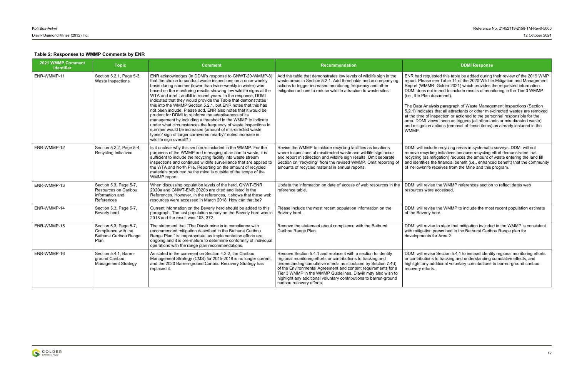requested this table be added during their review of the 2019 WMP ease see Table 14 of the 2020 Wildlife Mitigation and Management  $WMR$ ; Golder 2021) which provides the requested information. es not intend to include results of monitoring in the Tier 3 WMMP Plan document).

Analysis paragraph of Waste Management Inspections (Section icates that all attractants or other mis-directed wastes are removed of inspection or actioned to the personnel responsible for the MI views these as triggers (all attractants or mis-directed waste) ation actions (removal of these items) as already included in the

include recycling areas in systematic surveys. DDMI will not ecycling initiatives because recycling effort demonstrates that (as mitigation) reduces the amount of waste entering the land fill ifies the financial benefit (i.e., enhanced benefit) that the community knife receives from the Mine and this program.

revise the WMMP references section to reflect dates web were accessed.

revise the WMMP to include the most recent population estimate erly herd.

revise to state that mitigation included in the WMMP is consistent ation prescribed in the Bathurst Caribou Range plan for ents for Area 2.

revise Section 5.4.1 to instead identify regional monitoring efforts utions to tracking and understanding cumulative effects, and any additional voluntary contributions to barren-ground caribou efforts.

| 2021 WMMP Comment<br><b>Identifier</b> | <b>Topic</b>                                                                           | <b>Comment</b>                                                                                                                                                                                                                                                                                                                                                                                                                                                                                                                                                                                                                                                                                                                                                                                                                                                                 | <b>Recommendation</b>                                                                                                                                                                                                                                                                                                                                                                                                               | <b>DDMI Response</b>                                                                                                                                                                                                                                                                                                                                                                                                                                                                                       |
|----------------------------------------|----------------------------------------------------------------------------------------|--------------------------------------------------------------------------------------------------------------------------------------------------------------------------------------------------------------------------------------------------------------------------------------------------------------------------------------------------------------------------------------------------------------------------------------------------------------------------------------------------------------------------------------------------------------------------------------------------------------------------------------------------------------------------------------------------------------------------------------------------------------------------------------------------------------------------------------------------------------------------------|-------------------------------------------------------------------------------------------------------------------------------------------------------------------------------------------------------------------------------------------------------------------------------------------------------------------------------------------------------------------------------------------------------------------------------------|------------------------------------------------------------------------------------------------------------------------------------------------------------------------------------------------------------------------------------------------------------------------------------------------------------------------------------------------------------------------------------------------------------------------------------------------------------------------------------------------------------|
| ENR-WMMP-11                            | Section 5.2.1, Page 5-3,<br>Waste Inspections                                          | ENR acknowledges (in DDMI's response to GNWT-20-WMMP-8)<br>that the choice to conduct waste inspections on a once-weekly<br>basis during summer (lower than twice-weekly in winter) was<br>based on the monitoring results showing few wildlife signs at the<br>WTA and inert Landfill in recent years. In the response, DDMI<br>indicated that they would provide the Table that demonstrates<br>this into the WMMP Section 5.2.1, but ENR notes that this has<br>not been include. Please add. ENR also notes that it would be<br>prudent for DDMI to reinforce the adaptiveness of its<br>management by including a threshold in the WMMP to indicate<br>under what circumstances the frequency of waste inspections in<br>summer would be increased (amount of mis-directed waste<br>types? sign of larger carnivores nearby? noted increase in<br>wildlife sign overall?) | Add the table that demonstrates low levels of wildlife sign in the<br>waste areas in Section 5.2.1. Add thresholds and accompanying<br>actions to trigger increased monitoring frequency and other<br>mitigation actions to reduce wildlife attraction to waste sites.                                                                                                                                                              | ENR had requested this table be added during<br>report. Please see Table 14 of the 2020 Wildlife<br>Report (WMMR; Golder 2021) which provides t<br>DDMI does not intend to include results of mon<br>(i.e., the Plan document).<br>The Data Analysis paragraph of Waste Manage<br>5.2.1) indicates that all attractants or other mis-<br>at the time of inspection or actioned to the pers<br>area. DDMI views these as triggers (all attracta<br>and mitigation actions (removal of these items)<br>WMMP. |
| ENR-WMMP-12                            | Section 5.2.2, Page 5-4,<br>Recycling Initiatives                                      | Is it unclear why this section is included in the WMMP. For the<br>purposes of the WMMP and managing attraction to waste, it is<br>sufficient to include the recycling facility into waste stream<br>inspections and continued wildlife surveillance that are applied to<br>the WTA and North Pile. Reporting on the amount of recycled<br>materials produced by the mine is outside of the scope of the<br>WMMP report.                                                                                                                                                                                                                                                                                                                                                                                                                                                       | Revise the WMMP to include recycling facilities as locations<br>where inspections of misdirected waste and wildlife sign occur<br>and report misdirection and wildlife sign results. Omit separate<br>Section on "recycling" from the revised WMMP. Omit reporting of<br>amounts of recycled material in annual reports.                                                                                                            | DDMI will include recycling areas in systematic<br>remove recycling initiatives because recycling o<br>recycling (as mitigation) reduces the amount of<br>and identifies the financial benefit (i.e., enhance<br>of Yellowknife receives from the Mine and this                                                                                                                                                                                                                                            |
| ENR-WMMP-13                            | Section 5.3, Page 5-7,<br>Resources on Caribou<br>information and<br>References        | When discussing population levels of the herd, GNWT-ENR<br>2020a and GNWT-ENR 2020b are cited and listed in the<br>References. However, in the references, it shows that these web<br>resources were accessed in March 2018. How can that be?                                                                                                                                                                                                                                                                                                                                                                                                                                                                                                                                                                                                                                  | Update the information on date of access of web resources in the<br>reference table.                                                                                                                                                                                                                                                                                                                                                | DDMI will revise the WMMP references section<br>resources were accessed.                                                                                                                                                                                                                                                                                                                                                                                                                                   |
| ENR-WMMP-14                            | Section 5.3, Page 5-7,<br>Beverly herd                                                 | Current information on the Beverly herd should be added to this<br>paragraph. The last population survey on the Beverly herd was in<br>2018 and the result was 103, 372.                                                                                                                                                                                                                                                                                                                                                                                                                                                                                                                                                                                                                                                                                                       | Please include the most recent population information on the<br>Beverly herd.                                                                                                                                                                                                                                                                                                                                                       | DDMI will revise the WMMP to include the mos<br>of the Beverly herd.                                                                                                                                                                                                                                                                                                                                                                                                                                       |
| ENR-WMMP-15                            | Section 5.3, Page 5-7,<br>Compliance with the<br><b>Bathurst Caribou Range</b><br>Plan | The statement that "The Diavik mine is in compliance with<br>recommended mitigation described in the Bathurst Caribou<br>Range Plan." is inappropriate, as implementation efforts are<br>ongoing and it is pre-mature to determine conformity of individual<br>operations with the range plan recommendations.                                                                                                                                                                                                                                                                                                                                                                                                                                                                                                                                                                 | Remove the statement about compliance with the Bathurst<br>Caribou Range Plan.                                                                                                                                                                                                                                                                                                                                                      | DDMI will revise to state that mitigation include<br>with mitigation prescribed in the Bathurst Carib<br>developments for Area 2.                                                                                                                                                                                                                                                                                                                                                                          |
| ENR-WMMP-16                            | Section 5.4.1, Baren-<br>ground Caribou<br><b>Management Strategy</b>                  | As stated in the comment on Section 4.2.2, the Caribou<br>Management Strategy (CMS) for 2015-2018 is no longer current,<br>and the 2020 Barren-ground Caribou Recovery Strategy has<br>replaced it.                                                                                                                                                                                                                                                                                                                                                                                                                                                                                                                                                                                                                                                                            | Remove Section 5.4.1 and replace it with a section to identify<br>regional monitoring efforts or contributions to tracking and<br>understanding cumulative effects as stipulated by Section 7.4d)<br>of the Environmental Agreement and content requirements for a<br>Tier 3 WMMP in the WMMP Guidelines. Diavik may also wish to<br>highlight any additional voluntary contributions to barren-ground<br>caribou recovery efforts. | DDMI will revise Section 5.4.1 to instead identit<br>or contributions to tracking and understanding<br>highlight any additional voluntary contributions<br>recovery efforts.                                                                                                                                                                                                                                                                                                                               |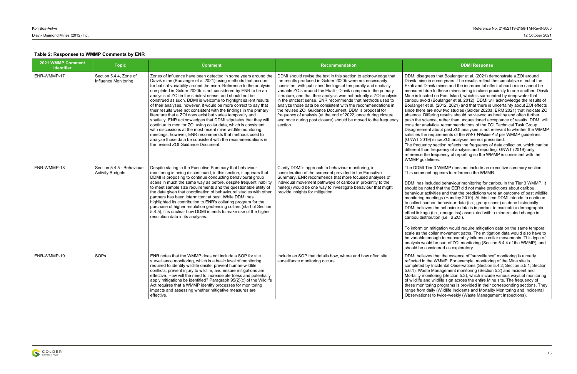agrees that Boulanger et al. (2021) demonstrate a ZOI around ne in some years. The results reflect the cumulative effect of the Diavik mines and the incremental effect of each mine cannot be I due to these mines being in close proximity to one another. Diavik cated on East Island, which is surrounded by deep water that void (Boulanger et al. 2012). DDMI will acknowledge the results of  $\cdot$  et al. (2012, 2021) and that there is uncertainty about ZOI effects e are now two studies (Golder 2020a; ERM 2021) that indicate ZOI Differing results should be viewed as healthy and often further science, rather than unquestioned acceptance of results. DDMI will analytical recommendations of the ZOI Technical Task Group. nent about past ZOI analyses is not relevant to whether the WMMP he requirements of the *NWT Wildlife Act* per WMMP guidelines 019) since ZOI analyses are not prescribed.

ency section reflects the frequency of data collection, which can be han frequency of analysis and reporting. GNWT (2019) only the frequency of reporting so the WMMP is consistent with the uidelines.

Tier 3 WMMP does not include an executive summary section. ment appears to reference the WMMR.

included behaviour monitoring for caribou in the Tier 3 WMMP. It  $s$  noted that the EER did not make predictions about caribou activities and that the predictions were an outcome of past wildlife q meetings (Handley 2010). At this time DDMI intends to continue caribou behaviour data (i.e., group scans) as done historically. ieves the behaviour data is important to evaluate a demographic age (i.e., energetics) associated with a mine-related change in istribution (i.e., a ZOI).

on mitigation would require mitigation data on the same temporal he collar movement paths. The mitigation data would also have to le enough to measurably influence collar movements. This type of vould be part of ZOI monitoring (Section 5.4.4 of the WMMP), and considered as exploratory.

ieves that the essence of "surveillance" monitoring is already in the WMMP. For example, monitoring of the Mine site is d by Incidental Observations (Section 5.4.2; Section 5.5.1; Section aste Management monitoring (Section 5.2) and Incident and monitoring (Section 5.3), which include various ways of monitoring and wildlife sign across the entire Mine site. The frequency of nitoring programs is provided in their corresponding sections. They m daily (Wildlife Incidents and Mortality Monitoring and Incidental ions) to twice-weekly (Waste Management Inspections).

| <b>2021 WMMP Comment</b><br><b>Identifier</b> | <b>Topic</b>                                          | <b>Comment</b>                                                                                                                                                                                                                                                                                                                                                                                                                                                                                                                                                                                                                                                                                                                                                                                                                                                                                                                                                                    | <b>Recommendation</b>                                                                                                                                                                                                                                                                                                                                                                                                                                                                                                                                                                                                                                                            | <b>DDMI Response</b>                                                                                                                                                                                                                                                                                                                                                                                                                                                                                                                                                                                                                                                                                                                                                                                                                                                                                      |
|-----------------------------------------------|-------------------------------------------------------|-----------------------------------------------------------------------------------------------------------------------------------------------------------------------------------------------------------------------------------------------------------------------------------------------------------------------------------------------------------------------------------------------------------------------------------------------------------------------------------------------------------------------------------------------------------------------------------------------------------------------------------------------------------------------------------------------------------------------------------------------------------------------------------------------------------------------------------------------------------------------------------------------------------------------------------------------------------------------------------|----------------------------------------------------------------------------------------------------------------------------------------------------------------------------------------------------------------------------------------------------------------------------------------------------------------------------------------------------------------------------------------------------------------------------------------------------------------------------------------------------------------------------------------------------------------------------------------------------------------------------------------------------------------------------------|-----------------------------------------------------------------------------------------------------------------------------------------------------------------------------------------------------------------------------------------------------------------------------------------------------------------------------------------------------------------------------------------------------------------------------------------------------------------------------------------------------------------------------------------------------------------------------------------------------------------------------------------------------------------------------------------------------------------------------------------------------------------------------------------------------------------------------------------------------------------------------------------------------------|
| ENR-WMMP-17                                   | Section 5.4.4, Zone of<br>Influence Monitoring        | Zones of influence have been detected in some years around the<br>Diavik mine (Boulanger et al 2021) using methods that account<br>for habitat variability around the mine. Reference to the analysis<br>completed in Golder 2020b is not considered by ENR to be an<br>analysis of ZOI in the strictest sense, and should not be<br>construed as such. DDMI is welcome to highlight salient results<br>of their analyses, however, it would be more correct to say that<br>their results were not consistent with the findings in the primary<br>literature that a ZOI does exist but varies temporally and<br>spatially. ENR acknowledges that DDMI stipulates that they will<br>continue to monitor ZOI using collar data, which is consistent<br>with discussions at the most recent mine wildlife monitoring<br>meetings, however, ENR recommends that methods used to<br>analyze those data be consistent with the recommendations in<br>the revised ZOI Guidance Document. | DDMI should revise the text in this section to acknowledge that<br>the results produced in Golder 2020b were not necessarily<br>consistent with published findings of temporally and spatially<br>variable ZOIs around the Ekati - Diavik complex in the primary<br>literature, and that their analysis was not actually a ZOI analysis<br>in the strictest sense. ENR recommends that methods used to<br>analyze those data be consistent with the recommendations in<br>the revised ZOI Guidance Document. DDMI's proposal for<br>frequency of analysis (at the end of 2022, once during closure<br>and once during post closure) should be moved to the frequency<br>section. | DDMI disagrees that Boulanger et al. (2021) de<br>Diavik mine in some years. The results reflect t<br>Ekati and Diavik mines and the incremental effe<br>measured due to these mines being in close pr<br>Mine is located on East Island, which is surrour<br>caribou avoid (Boulanger et al. 2012). DDMI wi<br>Boulanger et al. (2012, 2021) and that there is<br>since there are now two studies (Golder 2020a<br>absence. Differing results should be viewed as<br>push the science, rather than unquestioned aco<br>consider analytical recommendations of the ZC<br>Disagreement about past ZOI analyses is not re<br>satisfies the requirements of the NWT Wildlife /<br>(GNWT 2019) since ZOI analyses are not prese<br>The frequency section reflects the frequency of<br>different than frequency of analysis and reportin<br>reference the frequency of reporting so the WM<br>WMMP guidelines. |
| ENR-WMMP-18                                   | Section 5.4.5 - Behaviour:<br><b>Activity Budgets</b> | Despite stating in the Executive Summary that behaviour<br>monitoring is being discontinued, in this section, it appears that<br>DDMI is proposing to continue conducting behavioural group<br>scans in much the same way as before, despite frequent inability<br>to meet sample size requirements and the questionable utility of<br>the data given that coordination of behavioural studies with other<br>partners has been intermittent at best. While DDMI has<br>highlighted its contribution to ENR's collaring program for the<br>purchase of higher resolution geofencing collars (start of Section<br>5.4.5), it is unclear how DDMI intends to make use of the higher<br>resolution data in its analyses.                                                                                                                                                                                                                                                              | Clarify DDMI's approach to behaviour monitoring, in<br>consideration of the comment provided in the Executive<br>Summary. ENR recommends that more focused analyses of<br>individual movement pathways of caribou in proximity to the<br>mine(s) would be one way to investigate behaviour that might<br>provide insights for mitigation.                                                                                                                                                                                                                                                                                                                                        | The DDMI Tier 3 WMMP does not include an e<br>This comment appears to reference the WMMF<br>DDMI has included behaviour monitoring for ca<br>should be noted that the EER did not make pre<br>behaviour activities and that the predictions we<br>monitoring meetings (Handley 2010). At this tin<br>to collect caribou behaviour data (i.e., group sc<br>DDMI believes the behaviour data is important<br>effect linkage (i.e., energetics) associated with<br>caribou distribution (i.e., a ZOI).<br>To inform on mitigation would require mitigatior<br>scale as the collar movement paths. The mitiga<br>be variable enough to measurably influence co<br>analysis would be part of ZOI monitoring (Secti<br>should be considered as exploratory.                                                                                                                                                     |
| ENR-WMMP-19                                   | SOPs                                                  | ENR notes that the WMMP does not include a SOP for site<br>surveillance monitoring, which is a basic level of monitoring<br>required to identify wildlife onsite, prevent human-wildlife<br>conflicts, prevent injury to wildlife, and ensure mitigations are<br>effective. How will the need to increase alertness and potentially<br>apply mitigations be identified? Paragraph 95(2)(c) of the Wildlife<br>Act requires that a WMMP identify processes for monitoring<br>impacts and assessing whether mitigative measures are<br>effective.                                                                                                                                                                                                                                                                                                                                                                                                                                   | Include an SOP that details how, where and how often site<br>surveillance monitoring occurs.                                                                                                                                                                                                                                                                                                                                                                                                                                                                                                                                                                                     | DDMI believes that the essence of "surveillance<br>reflected in the WMMP. For example, monitorin<br>completed by Incidental Observations (Section<br>5.6.1), Waste Management monitoring (Sectior<br>Mortality monitoring (Section 5.3), which includ<br>of wildlife and wildlife sign across the entire Mir<br>these monitoring programs is provided in their<br>range from daily (Wildlife Incidents and Mortalit<br>Observations) to twice-weekly (Waste Manager                                                                                                                                                                                                                                                                                                                                                                                                                                       |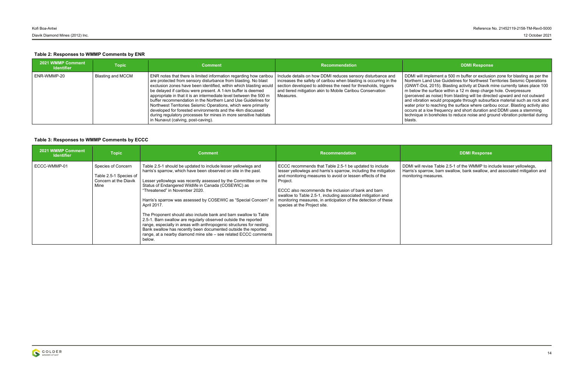implement a 500 m buffer or exclusion zone for blasting as per the and Use Guidelines for Northwest Territories Seismic Operations (GNWT-DoL 2015). Blasting activity at Diavik mine currently takes place 100 m below the surface within a 12 m deep charge hole. Overpressure l as noise) from blasting will be directed upward and not outward on would propagate through subsurface material such as rock and r to reaching the surface where caribou occur. Blasting activity also a low frequency and short duration and DDMI uses a stemming in boreholes to reduce noise and ground vibration potential during

evise Table 2.5-1 of the WMMP to include lesser yellowlegs, arrow, barn swallow, bank swallow, and associated mitigation and measures.

### **Table 2: Responses to WMMP Comments by ENR**

| 2021 WMMP Comment<br><b>Identifier</b> | <b>Topic</b>      | <b>Comment</b>                                                                                                                                                                                                                                                                                                                                                                                                                                                                                                                                                                                                                                         | <b>Recommendation</b>                                                                                                                                                                                                                                                        | <b>DDMI Response</b>                                                                                                                                                                                                                                                                                                                                                                                                                                                           |
|----------------------------------------|-------------------|--------------------------------------------------------------------------------------------------------------------------------------------------------------------------------------------------------------------------------------------------------------------------------------------------------------------------------------------------------------------------------------------------------------------------------------------------------------------------------------------------------------------------------------------------------------------------------------------------------------------------------------------------------|------------------------------------------------------------------------------------------------------------------------------------------------------------------------------------------------------------------------------------------------------------------------------|--------------------------------------------------------------------------------------------------------------------------------------------------------------------------------------------------------------------------------------------------------------------------------------------------------------------------------------------------------------------------------------------------------------------------------------------------------------------------------|
| ENR-WMMP-20                            | Blasting and MCCM | ENR notes that there is limited information regarding how caribou<br>are protected from sensory disturbance from blasting. No blast<br>exclusion zones have been identified, within which blasting would<br>be delaved if caribou were present. A 1-km buffer is deemed<br>appropriate in that it is an intermediate level between the 500 m<br>buffer recommendation in the Northern Land Use Guidelines for<br>Northwest Territories Seismic Operations, which were primarily<br>developed for forested environments and the 4km discussed<br>during regulatory processes for mines in more sensitive habitats<br>in Nunavut (calving, post-caving). | Include details on how DDMI reduces sensory disturbance and<br>increases the safety of caribou when blasting is occurring in the<br>section developed to address the need for thresholds, triggers<br>and tiered mitigation akin to Mobile Caribou Conservation<br>Measures. | DDMI will implement a 500 m buffer or exclusic<br>Northern Land Use Guidelines for Northwest To<br>(GNWT-DoL 2015). Blasting activity at Diavik n<br>m below the surface within a 12 m deep charge<br>(perceived as noise) from blasting will be direct<br>and vibration would propagate through subsurfa<br>water prior to reaching the surface where caribe<br>occurs at a low frequency and short duration are<br>technique in boreholes to reduce noise and gro<br>blasts. |

| 2021 WMMP Comment<br><b>Identifier</b> | <b>Topic</b>                                                                  | <b>Comment</b>                                                                                                                                                                                                                                                                                                                                                                                                                                                                                                                                                                                                                                                                                                                                    | <b>Recommendation</b>                                                                                                                                                                                                                                                                                                                                                                                                       | <b>DDMI Response</b>                                                                                                      |
|----------------------------------------|-------------------------------------------------------------------------------|---------------------------------------------------------------------------------------------------------------------------------------------------------------------------------------------------------------------------------------------------------------------------------------------------------------------------------------------------------------------------------------------------------------------------------------------------------------------------------------------------------------------------------------------------------------------------------------------------------------------------------------------------------------------------------------------------------------------------------------------------|-----------------------------------------------------------------------------------------------------------------------------------------------------------------------------------------------------------------------------------------------------------------------------------------------------------------------------------------------------------------------------------------------------------------------------|---------------------------------------------------------------------------------------------------------------------------|
| ECCC-WMMP-01                           | Species of Concern<br>Table 2.5-1 Species of<br>Concern at the Diavik<br>Mine | Table 2.5-1 should be updated to include lesser yellowlegs and<br>harris's sparrow, which have been observed on site in the past.<br>Lesser yellowlegs was recently assessed by the Committee on the<br>Status of Endangered Wildlife in Canada (COSEWIC) as<br>"Threatened" in November 2020.<br>Harris's sparrow was assessed by COSEWIC as "Special Concern" in<br>April 2017.<br>The Proponent should also include bank and barn swallow to Table<br>2.5-1. Barn swallow are regularly observed outside the reported<br>range, especially in areas with anthropogenic structures for nesting.<br>Bank swallow has recently been documented outside the reported<br>range, at a nearby diamond mine site – see related ECCC comments<br>below. | ECCC recommends that Table 2.5-1 be updated to include<br>lesser yellowlegs and harris's sparrow, including the mitigation<br>and monitoring measures to avoid or lessen effects of the<br>Project.<br>ECCC also recommends the inclusion of bank and barn<br>swallow to Table 2.5-1, including associated mitigation and<br>monitoring measures, in anticipation of the detection of these<br>species at the Project site. | DDMI will revise Table 2.5-1 of the WMMP to in<br>Harris's sparrow, barn swallow, bank swallow, a<br>monitoring measures. |

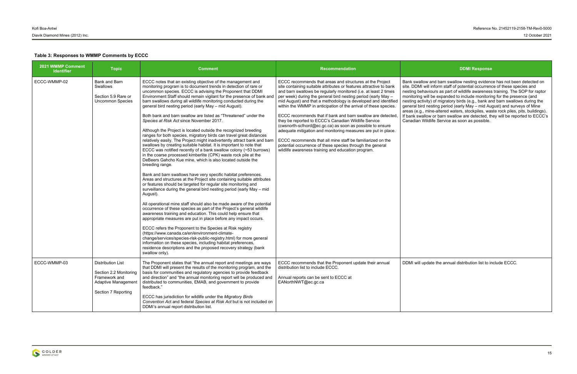### **Table 3: Responses to WMMP Comments by ECCC**

Bank swallow and barn swallow nesting evidence has not been detected on site. DDMI will inform staff of potential occurrence of these species and haviours as part of wildlife awareness training. The SOP for raptor monitoring will be expanded to include monitoring for the presence (and nesting activity) of migratory birds (e.g., bank and barn swallows during the general bird nesting period (early May – mid August) and surveys of Mine areas (e.g., mine-altered waters, stockpiles, waste rock piles, pits, buildings). If bank swallow or barn swallow are detected, they will be reported to ECCC's Wildlife Service as soon as possible.

apdate the annual distribution list to include ECCC.

| 2021 WMMP Comment<br><b>Identifier</b> | <b>Topic</b>                                                                                                             | <b>Comment</b>                                                                                                                                                                                                                                                                                                                                                                                                                                                                                                                                                                                                                                                                                                                                                                                                                                                                                                                                                                                                                                                                                                                                                                                                                                                                                                                                                                                                                                                                                                                                                                                                                                                                                                                                                                                                                                                                                                                                                                | <b>Recommendation</b>                                                                                                                                                                                                                                                                                                                                                                                                                                                                                                                                                                                                                                                                                                                                                                                                                         | <b>DDMI Response</b>                                                                                                                                                                                                                                                                                                                                                                                                                                                              |
|----------------------------------------|--------------------------------------------------------------------------------------------------------------------------|-------------------------------------------------------------------------------------------------------------------------------------------------------------------------------------------------------------------------------------------------------------------------------------------------------------------------------------------------------------------------------------------------------------------------------------------------------------------------------------------------------------------------------------------------------------------------------------------------------------------------------------------------------------------------------------------------------------------------------------------------------------------------------------------------------------------------------------------------------------------------------------------------------------------------------------------------------------------------------------------------------------------------------------------------------------------------------------------------------------------------------------------------------------------------------------------------------------------------------------------------------------------------------------------------------------------------------------------------------------------------------------------------------------------------------------------------------------------------------------------------------------------------------------------------------------------------------------------------------------------------------------------------------------------------------------------------------------------------------------------------------------------------------------------------------------------------------------------------------------------------------------------------------------------------------------------------------------------------------|-----------------------------------------------------------------------------------------------------------------------------------------------------------------------------------------------------------------------------------------------------------------------------------------------------------------------------------------------------------------------------------------------------------------------------------------------------------------------------------------------------------------------------------------------------------------------------------------------------------------------------------------------------------------------------------------------------------------------------------------------------------------------------------------------------------------------------------------------|-----------------------------------------------------------------------------------------------------------------------------------------------------------------------------------------------------------------------------------------------------------------------------------------------------------------------------------------------------------------------------------------------------------------------------------------------------------------------------------|
| ECCC-WMMP-02                           | Bank and Barn<br><b>Swallows</b><br>Section 5.9 Rare or<br><b>Uncommon Species</b>                                       | ECCC notes that an existing objective of the management and<br>monitoring program is to document trends in detection of rare or<br>uncommon species. ECCC is advising the Proponent that DDMI<br>Environment Staff should remain vigilant for the presence of bank and<br>barn swallows during all wildlife monitoring conducted during the<br>general bird nesting period (early May - mid August).<br>Both bank and barn swallow are listed as "Threatened" under the<br>Species at Risk Act since November 2017.<br>Although the Project is located outside the recognized breeding<br>ranges for both species, migratory birds can travel great distances<br>relatively easily. The Project might inadvertently attract bank and barn<br>swallows by creating suitable habitat. It is important to note that<br>ECCC was notified recently of a bank swallow colony (~53 burrows)<br>in the coarse processed kimberlite (CPK) waste rock pile at the<br>DeBeers Gahcho Kue mine, which is also located outside the<br>breeding range.<br>Bank and barn swallows have very specific habitat preferences.<br>Areas and structures at the Project site containing suitable attributes<br>or features should be targeted for regular site monitoring and<br>surveillance during the general bird nesting period (early May - mid<br>August).<br>All operational mine staff should also be made aware of the potential<br>occurrence of these species as part of the Project's general wildlife<br>awareness training and education. This could help ensure that<br>appropriate measures are put in place before any impact occurs.<br>ECCC refers the Proponent to the Species at Risk registry<br>(https://www.canada.ca/en/environment-climate-<br>change/services/species-risk-public-registry.html) for more general<br>information on these species, including habitat preferences,<br>residence descriptions and the proposed recovery strategy (bank<br>swallow only). | ECCC recommends that areas and structures at the Project<br>site containing suitable attributes or features attractive to bank<br>and barn swallows be regularly monitored (i.e. at least 2 times<br>per week) during the general bird nesting period (early May -<br>mid August) and that a methodology is developed and identified<br>within the WMMP in anticipation of the arrival of these species.<br>ECCC recommends that if bank and barn swallow are detected<br>they be reported to ECCC's Canadian Wildlife Service<br>(cwsnorth-scfnord@ec.gc.ca) as soon as possible to ensure<br>adequate mitigation and monitoring measures are put in place.<br>ECCC recommends that all mine staff be familiarized on the<br>potential occurrence of these species through the general<br>wildlife awareness training and education program. | Bank swallow and barn swallow nesting evidend<br>site. DDMI will inform staff of potential occurrent<br>nesting behaviours as part of wildlife awareness<br>monitoring will be expanded to include monitorin<br>nesting activity) of migratory birds (e.g., bank ar<br>general bird nesting period (early May - mid Au<br>areas (e.g., mine-altered waters, stockpiles, was<br>If bank swallow or barn swallow are detected, th<br>Canadian Wildlife Service as soon as possible. |
| ECCC-WMMP-03                           | <b>Distribution List</b><br>Section 2.2 Monitoring<br>Framework and<br><b>Adaptive Management</b><br>Section 7 Reporting | The Proponent states that "the annual report and meetings are ways<br>that DDMI will present the results of the monitoring program, and the<br>basis for communities and regulatory agencies to provide feedback<br>and direction" and "the annual monitoring report will be produced and<br>distributed to communities, EMAB, and government to provide<br>feedback."<br>ECCC has jurisdiction for wildlife under the Migratory Birds<br>Convention Act and federal Species at Risk Act but is not included on<br>DDMI's annual report distribution list.                                                                                                                                                                                                                                                                                                                                                                                                                                                                                                                                                                                                                                                                                                                                                                                                                                                                                                                                                                                                                                                                                                                                                                                                                                                                                                                                                                                                                    | ECCC recommends that the Proponent update their annual<br>distribution list to include ECCC.<br>Annual reports can be sent to ECCC at<br>EANorthNWT@ec.gc.ca                                                                                                                                                                                                                                                                                                                                                                                                                                                                                                                                                                                                                                                                                  | DDMI will update the annual distribution list to ir                                                                                                                                                                                                                                                                                                                                                                                                                               |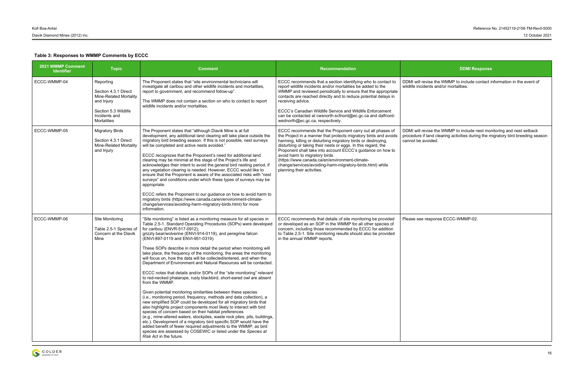evise the WMMP to include contact information in the event of dents and/or mortalities.

### **Table 3: Responses to WMMP Comments by ECCC**

DDMI will revise the WMMP to include nest monitoring and nest setback procedure if land clearing activities during the migratory bird breeding season voided.

| 2021 WMMP Comment<br><b>Identifier</b> | <b>Topic</b>                                                                                                                      | <b>Comment</b>                                                                                                                                                                                                                                                                                                                                                                                                                                                                                                                                                                                                                                                                                                                                                                                                                                                                                                                                                                                                                                                                                                                                                                                                                                                                                                                                                                                                       | Recommendation                                                                                                                                                                                                                                                                                                                                                                                                                                                                                                | <b>DDMI Response</b>                                                                                                       |
|----------------------------------------|-----------------------------------------------------------------------------------------------------------------------------------|----------------------------------------------------------------------------------------------------------------------------------------------------------------------------------------------------------------------------------------------------------------------------------------------------------------------------------------------------------------------------------------------------------------------------------------------------------------------------------------------------------------------------------------------------------------------------------------------------------------------------------------------------------------------------------------------------------------------------------------------------------------------------------------------------------------------------------------------------------------------------------------------------------------------------------------------------------------------------------------------------------------------------------------------------------------------------------------------------------------------------------------------------------------------------------------------------------------------------------------------------------------------------------------------------------------------------------------------------------------------------------------------------------------------|---------------------------------------------------------------------------------------------------------------------------------------------------------------------------------------------------------------------------------------------------------------------------------------------------------------------------------------------------------------------------------------------------------------------------------------------------------------------------------------------------------------|----------------------------------------------------------------------------------------------------------------------------|
| ECCC-WMMP-04                           | Reporting<br>Section 4.3.1 Direct<br>Mine-Related Mortality<br>and Injury<br>Section 5.3 Wildlife<br>Incidents and<br>Mortalities | The Proponent states that "site environmental technicians will<br>investigate all caribou and other wildlife incidents and mortalities,<br>report to government, and recommend follow-up".<br>The WMMP does not contain a section on who to contact to report<br>wildlife incidents and/or mortalities.                                                                                                                                                                                                                                                                                                                                                                                                                                                                                                                                                                                                                                                                                                                                                                                                                                                                                                                                                                                                                                                                                                              | ECCC recommends that a section identifying who to contact to<br>report wildlife incidents and/or mortalities be added to the<br>WMMP and reviewed periodically to ensure that the appropriate<br>contacts are reached directly and to reduce potential delays in<br>receiving advice.<br>ECCC's Canadian Wildlife Service and Wildlife Enforcement<br>can be contacted at cwsnorth-scfnord@ec.gc.ca and dalfnord-<br>wednorth@ec.gc.ca, respectively.                                                         | DDMI will revise the WMMP to include contact i<br>wildlife incidents and/or mortalities.                                   |
| ECCC-WMMP-05                           | <b>Migratory Birds</b><br>Section 4.3.1 Direct<br><b>Mine-Related Mortality</b><br>and Injury                                     | The Proponent states that "although Diavik Mine is at full<br>development, any additional land clearing will take place outside the<br>migratory bird breeding season. If this is not possible, nest surveys<br>will be completed and active nests avoided."<br>ECCC recognizes that the Proponent's need for additional land<br>clearing may be minimal at this stage of the Project's life and<br>acknowledges their intent to avoid the general bird nesting period, if<br>any vegetation clearing is needed. However, ECCC would like to<br>ensure that the Proponent is aware of the associated risks with "nest<br>surveys" and conditions under which these types of surveys may be<br>appropriate.<br>ECCC refers the Proponent to our guidance on how to avoid harm to<br>migratory birds (https://www.canada.ca/en/environment-climate-<br>change/services/avoiding-harm-migratory-birds.html) for more<br>information.                                                                                                                                                                                                                                                                                                                                                                                                                                                                                    | ECCC recommends that the Proponent carry out all phases of<br>the Project in a manner that protects migratory birds and avoids<br>harming, killing or disturbing migratory birds or destroying,<br>disturbing or taking their nests or eggs. In this regard, the<br>Proponent shall take into account ECCC's guidance on how to<br>avoid harm to migratory birds<br>(https://www.canada.ca/en/environment-climate-<br>change/services/avoiding-harm-migratory-birds.html) while<br>planning their activities. | DDMI will revise the WMMP to include nest more<br>procedure if land clearing activities during the m<br>cannot be avoided. |
| ECCC-WMMP-06                           | Site Monitoring<br>Table 2.5-1 Species of<br>Concern at the Diavik<br>Mine                                                        | "Site monitoring" is listed as a monitoring measure for all species in<br>Table 2.5-1. Standard Operating Procedures (SOPs) were developed<br>for caribou (ENVR-517-0912),<br>grizzly bear/wolverine (ENVI-914-0119), and peregrine falcon<br>(ENVI-897-0119 and ENVI-951-0319).<br>These SOPs describe in more detail the period when monitoring will<br>take place, the frequency of the monitoring, the areas the monitoring<br>will focus on, how the data will be collected/entered, and when the<br>Department of Environment and Natural Resources will be contacted.<br>ECCC notes that details and/or SOPs of the "site monitoring" relevant<br>to red-necked phalarope, rusty blackbird, short-eared owl are absent<br>from the WMMP.<br>Given potential monitoring similarities between these species<br>(i.e., monitoring period, frequency, methods and data collection), a<br>new simplified SOP could be developed for all migratory birds that<br>also highlights project components most likely to interact with bird<br>species of concern based on their habitat preferences<br>(e.g., mine-altered waters, stockpiles, waste rock piles, pits, buildings,<br>etc.). Development of a migratory bird specific SOP would have the<br>added benefit of fewer required adjustments to the WMMP, as bird<br>species are assessed by COSEWIC or listed under the Species at<br>Risk Act in the future. | ECCC recommends that details of site monitoring be provided<br>or developed as an SOP in the WMMP for all other species of<br>concern, including those recommended by ECCC for addition<br>to Table 2.5-1. Site monitoring results should also be provided<br>in the annual WMMP reports.                                                                                                                                                                                                                     | Please see response ECCC-WMMP-02.                                                                                          |

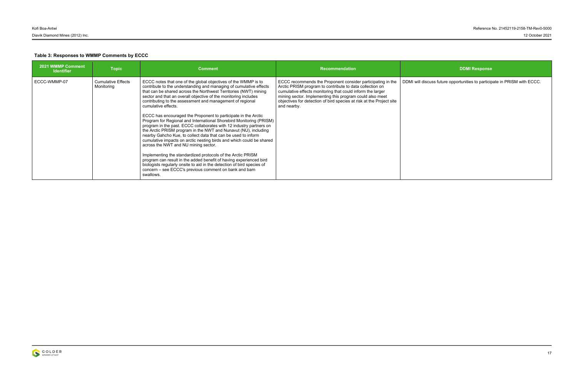discuss future opportunities to participate in PRISM with ECCC.

| 2021 WMMP Comment<br><b>Identifier</b> | <b>Topic</b>                            | <b>Comment</b>                                                                                                                                                                                                                                                                                                                                                                                                                                                                                                                                                                                                                                                                                                                                                                                                                                                                                                                                                                                                                                                                                                            | <b>Recommendation</b>                                                                                                                                                                                                                                                                                                                    | <b>DDMI Response</b>                               |
|----------------------------------------|-----------------------------------------|---------------------------------------------------------------------------------------------------------------------------------------------------------------------------------------------------------------------------------------------------------------------------------------------------------------------------------------------------------------------------------------------------------------------------------------------------------------------------------------------------------------------------------------------------------------------------------------------------------------------------------------------------------------------------------------------------------------------------------------------------------------------------------------------------------------------------------------------------------------------------------------------------------------------------------------------------------------------------------------------------------------------------------------------------------------------------------------------------------------------------|------------------------------------------------------------------------------------------------------------------------------------------------------------------------------------------------------------------------------------------------------------------------------------------------------------------------------------------|----------------------------------------------------|
| ECCC-WMMP-07                           | <b>Cumulative Effects</b><br>Monitoring | ECCC notes that one of the global objectives of the WMMP is to<br>contribute to the understanding and managing of cumulative effects<br>that can be shared across the Northwest Territories (NWT) mining<br>sector and that an overall objective of the monitoring includes<br>contributing to the assessment and management of regional<br>cumulative effects.<br>ECCC has encouraged the Proponent to participate in the Arctic<br>Program for Regional and International Shorebird Monitoring (PRISM)<br>program in the past. ECCC collaborates with 12 industry partners on<br>the Arctic PRISM program in the NWT and Nunavut (NU), including<br>nearby Gahcho Kue, to collect data that can be used to inform<br>cumulative impacts on arctic nesting birds and which could be shared<br>across the NWT and NU mining sector.<br>Implementing the standardized protocols of the Arctic PRISM<br>program can result in the added benefit of having experienced bird<br>biologists regularly onsite to aid in the detection of bird species of<br>concern – see ECCC's previous comment on bank and barn<br>swallows. | ECCC recommends the Proponent consider participating in the<br>Arctic PRISM program to contribute to data collection on<br>cumulative effects monitoring that could inform the larger<br>mining sector. Implementing this program could also meet<br>objectives for detection of bird species at risk at the Project site<br>and nearby. | DDMI will discuss future opportunities to particip |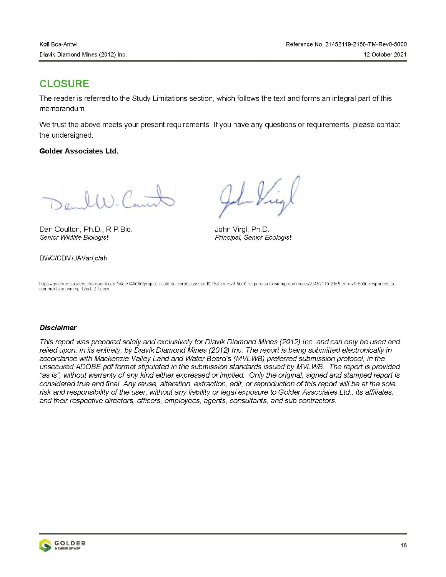# **CLOSURE**

The reader is referred to the Study Limitations section, which follows the text and forms an integral part of this memorandum.

We trust the above meets your present requirements. If you have any questions or requirements, please contact the undersianed.

### **Golder Associates Ltd.**

 $2a$   $l(x)$   $C$  =

Dan Coulton, Ph.D., R.P.Bio. Senior Wildlife Biologist

### DWC/CDM/JAVar/jc/ah

John Virgl, Ph.D. Principal, Senior Ecologist

https://golderassociates.sharepoint.com/sites/140080/project files/6 deliverables/issued/2158-tm-rev0-5000-responses to wmmp comments/21452119-2158-tm-rev0-5000-responses to comments on wmmp 12oct\_21.docx

### **Disclaimer**

This report was prepared solely and exclusively for Diavik Diamond Mines (2012) Inc. and can only be used and relied upon, in its entirety, by Diavik Diamond Mines (2012) Inc. The report is being submitted electronically in accordance with Mackenzie Valley Land and Water Board's (MVLWB) preferred submission protocol, in the unsecured ADOBE pdf format stipulated in the submission standards issued by MVLWB. The report is provided "as is", without warranty of any kind either expressed or implied. Only the original, signed and stamped report is considered true and final. Any reuse, alteration, extraction, edit, or reproduction of this report will be at the sole risk and responsibility of the user, without any liability or legal exposure to Golder Associates Ltd., its affiliates, and their respective directors, officers, employees, agents, consultants, and sub contractors.

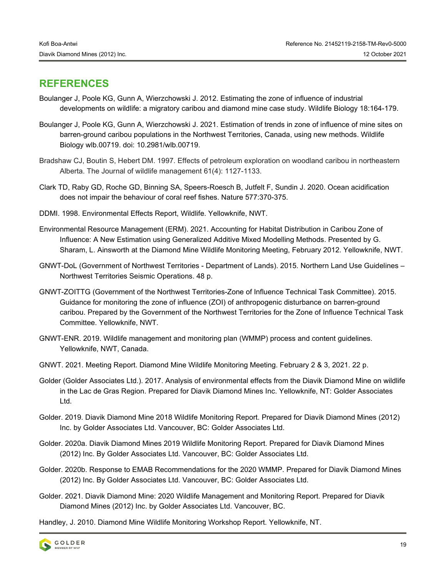# **REFERENCES**

- Boulanger J, Poole KG, Gunn A, Wierzchowski J. 2012. Estimating the zone of influence of industrial developments on wildlife: a migratory caribou and diamond mine case study. Wildlife Biology 18:164-179.
- Boulanger J, Poole KG, Gunn A, Wierzchowski J. 2021. Estimation of trends in zone of influence of mine sites on barren-ground caribou populations in the Northwest Territories, Canada, using new methods. Wildlife Biology wlb.00719. doi: 10.2981/wlb.00719.
- Bradshaw CJ, Boutin S, Hebert DM. 1997. Effects of petroleum exploration on woodland caribou in northeastern Alberta. The Journal of wildlife management 61(4): 1127-1133.
- Clark TD, Raby GD, Roche GD, Binning SA, Speers-Roesch B, Jutfelt F, Sundin J. 2020. Ocean acidification does not impair the behaviour of coral reef fishes. Nature 577:370-375.
- DDMI. 1998. Environmental Effects Report, Wildlife. Yellowknife, NWT.
- Environmental Resource Management (ERM). 2021. Accounting for Habitat Distribution in Caribou Zone of Influence: A New Estimation using Generalized Additive Mixed Modelling Methods. Presented by G. Sharam, L. Ainsworth at the Diamond Mine Wildlife Monitoring Meeting, February 2012. Yellowknife, NWT.
- GNWT-DoL (Government of Northwest Territories Department of Lands). 2015. Northern Land Use Guidelines Northwest Territories Seismic Operations. 48 p.
- GNWT-ZOITTG (Government of the Northwest Territories-Zone of Influence Technical Task Committee). 2015. Guidance for monitoring the zone of influence (ZOI) of anthropogenic disturbance on barren-ground caribou. Prepared by the Government of the Northwest Territories for the Zone of Influence Technical Task Committee. Yellowknife, NWT.
- GNWT-ENR. 2019. Wildlife management and monitoring plan (WMMP) process and content guidelines. Yellowknife, NWT, Canada.
- GNWT. 2021. Meeting Report. Diamond Mine Wildlife Monitoring Meeting. February 2 & 3, 2021. 22 p.
- Golder (Golder Associates Ltd.). 2017. Analysis of environmental effects from the Diavik Diamond Mine on wildlife in the Lac de Gras Region. Prepared for Diavik Diamond Mines Inc. Yellowknife, NT: Golder Associates Ltd.
- Golder. 2019. Diavik Diamond Mine 2018 Wildlife Monitoring Report. Prepared for Diavik Diamond Mines (2012) Inc. by Golder Associates Ltd. Vancouver, BC: Golder Associates Ltd.
- Golder. 2020a. Diavik Diamond Mines 2019 Wildlife Monitoring Report. Prepared for Diavik Diamond Mines (2012) Inc. By Golder Associates Ltd. Vancouver, BC: Golder Associates Ltd.
- Golder. 2020b. Response to EMAB Recommendations for the 2020 WMMP. Prepared for Diavik Diamond Mines (2012) Inc. By Golder Associates Ltd. Vancouver, BC: Golder Associates Ltd.
- Golder. 2021. Diavik Diamond Mine: 2020 Wildlife Management and Monitoring Report. Prepared for Diavik Diamond Mines (2012) Inc. by Golder Associates Ltd. Vancouver, BC.

Handley, J. 2010. Diamond Mine Wildlife Monitoring Workshop Report. Yellowknife, NT.



19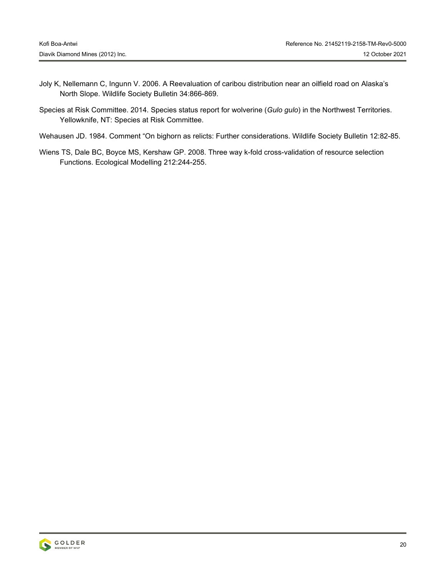- Joly K, Nellemann C, Ingunn V. 2006. A Reevaluation of caribou distribution near an oilfield road on Alaska's North Slope. Wildlife Society Bulletin 34:866-869.
- Species at Risk Committee. 2014. Species status report for wolverine (*Gulo gulo*) in the Northwest Territories. Yellowknife, NT: Species at Risk Committee.
- Wehausen JD. 1984. Comment "On bighorn as relicts: Further considerations. Wildlife Society Bulletin 12:82-85.
- Wiens TS, Dale BC, Boyce MS, Kershaw GP. 2008. Three way k-fold cross-validation of resource selection Functions. Ecological Modelling 212:244-255.